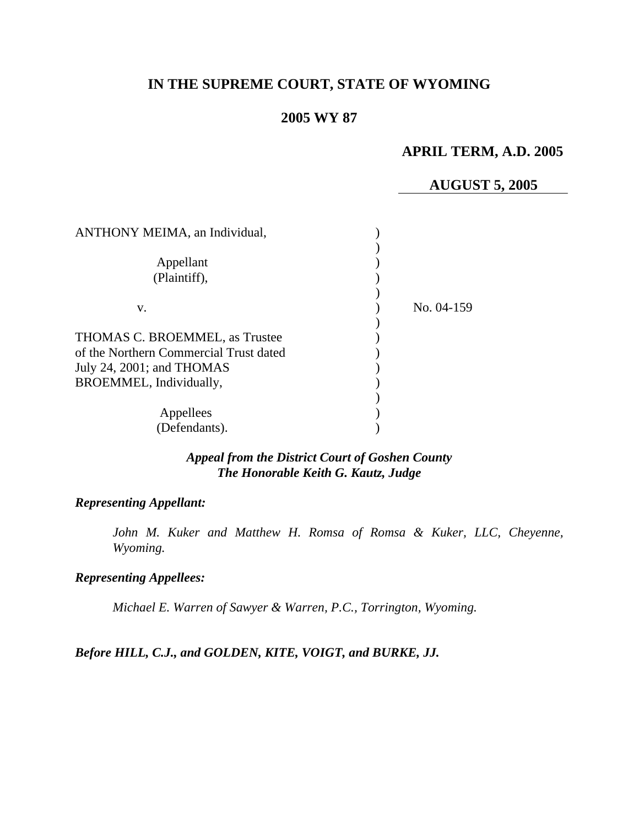# **IN THE SUPREME COURT, STATE OF WYOMING**

# **2005 WY 87**

## **APRIL TERM, A.D. 2005**

### **AUGUST 5, 2005**

| <b>ANTHONY MEIMA</b> , an Individual,                                    |            |
|--------------------------------------------------------------------------|------------|
| Appellant<br>(Plaintiff),                                                |            |
|                                                                          |            |
| V.                                                                       | No. 04-159 |
| THOMAS C. BROEMMEL, as Trustee<br>of the Northern Commercial Trust dated |            |
| July 24, 2001; and THOMAS                                                |            |
| BROEMMEL, Individually,                                                  |            |
| Appellees                                                                |            |
| (Defendants).                                                            |            |

### *Appeal from the District Court of Goshen County The Honorable Keith G. Kautz, Judge*

### *Representing Appellant:*

*John M. Kuker and Matthew H. Romsa of Romsa & Kuker, LLC, Cheyenne, Wyoming.* 

#### *Representing Appellees:*

*Michael E. Warren of Sawyer & Warren, P.C., Torrington, Wyoming.* 

*Before HILL, C.J., and GOLDEN, KITE, VOIGT, and BURKE, JJ.*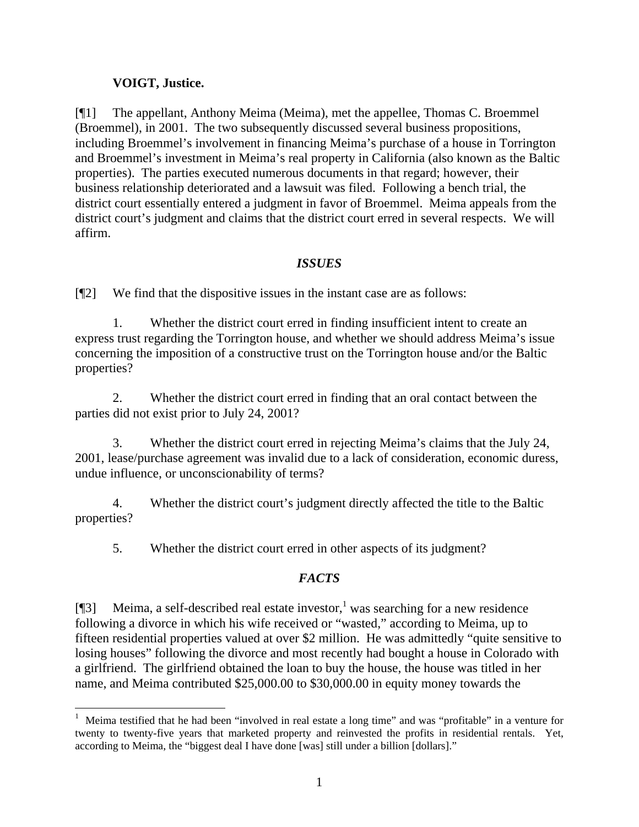## **VOIGT, Justice.**

[¶1] The appellant, Anthony Meima (Meima), met the appellee, Thomas C. Broemmel (Broemmel), in 2001. The two subsequently discussed several business propositions, including Broemmel's involvement in financing Meima's purchase of a house in Torrington and Broemmel's investment in Meima's real property in California (also known as the Baltic properties). The parties executed numerous documents in that regard; however, their business relationship deteriorated and a lawsuit was filed. Following a bench trial, the district court essentially entered a judgment in favor of Broemmel. Meima appeals from the district court's judgment and claims that the district court erred in several respects. We will affirm.

## *ISSUES*

[¶2] We find that the dispositive issues in the instant case are as follows:

1. Whether the district court erred in finding insufficient intent to create an express trust regarding the Torrington house, and whether we should address Meima's issue concerning the imposition of a constructive trust on the Torrington house and/or the Baltic properties?

2. Whether the district court erred in finding that an oral contact between the parties did not exist prior to July 24, 2001?

3. Whether the district court erred in rejecting Meima's claims that the July 24, 2001, lease/purchase agreement was invalid due to a lack of consideration, economic duress, undue influence, or unconscionability of terms?

4. Whether the district court's judgment directly affected the title to the Baltic properties?

5. Whether the district court erred in other aspects of its judgment?

# *FACTS*

[ $[$ ] Meima, a self-described real estate investor,<sup>1</sup> was searching for a new residence following a divorce in which his wife received or "wasted," according to Meima, up to fifteen residential properties valued at over \$2 million. He was admittedly "quite sensitive to losing houses" following the divorce and most recently had bought a house in Colorado with a girlfriend. The girlfriend obtained the loan to buy the house, the house was titled in her name, and Meima contributed \$25,000.00 to \$30,000.00 in equity money towards the

 1 Meima testified that he had been "involved in real estate a long time" and was "profitable" in a venture for twenty to twenty-five years that marketed property and reinvested the profits in residential rentals. Yet, according to Meima, the "biggest deal I have done [was] still under a billion [dollars]."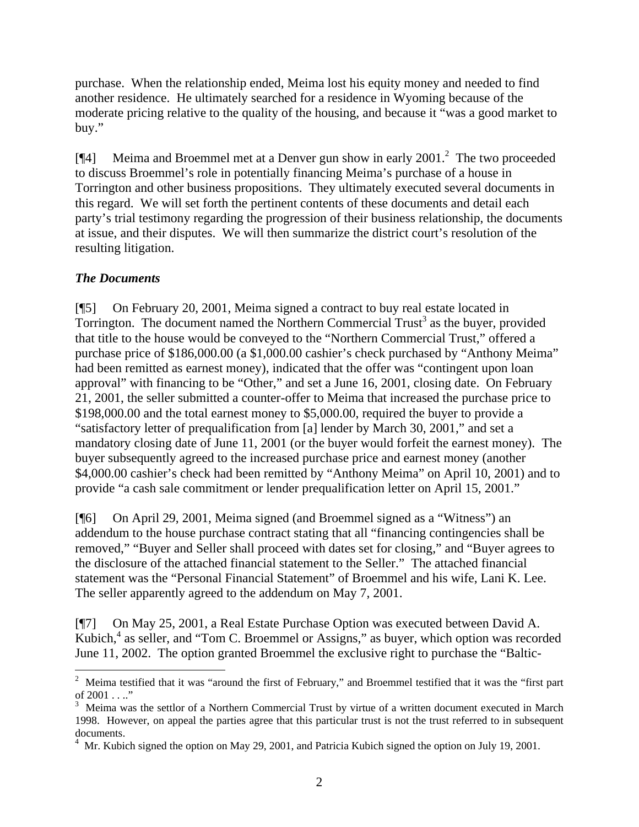purchase. When the relationship ended, Meima lost his equity money and needed to find another residence. He ultimately searched for a residence in Wyoming because of the moderate pricing relative to the quality of the housing, and because it "was a good market to buy."

[¶4] Meima and Broemmel met at a Denver gun show in early 2001.<sup>2</sup> The two proceeded to discuss Broemmel's role in potentially financing Meima's purchase of a house in Torrington and other business propositions. They ultimately executed several documents in this regard. We will set forth the pertinent contents of these documents and detail each party's trial testimony regarding the progression of their business relationship, the documents at issue, and their disputes. We will then summarize the district court's resolution of the resulting litigation.

## *The Documents*

[¶5] On February 20, 2001, Meima signed a contract to buy real estate located in Torrington. The document named the Northern Commercial Trust<sup>3</sup> as the buyer, provided that title to the house would be conveyed to the "Northern Commercial Trust," offered a purchase price of \$186,000.00 (a \$1,000.00 cashier's check purchased by "Anthony Meima" had been remitted as earnest money), indicated that the offer was "contingent upon loan approval" with financing to be "Other," and set a June 16, 2001, closing date. On February 21, 2001, the seller submitted a counter-offer to Meima that increased the purchase price to \$198,000.00 and the total earnest money to \$5,000.00, required the buyer to provide a "satisfactory letter of prequalification from [a] lender by March 30, 2001," and set a mandatory closing date of June 11, 2001 (or the buyer would forfeit the earnest money). The buyer subsequently agreed to the increased purchase price and earnest money (another \$4,000.00 cashier's check had been remitted by "Anthony Meima" on April 10, 2001) and to provide "a cash sale commitment or lender prequalification letter on April 15, 2001."

[¶6] On April 29, 2001, Meima signed (and Broemmel signed as a "Witness") an addendum to the house purchase contract stating that all "financing contingencies shall be removed," "Buyer and Seller shall proceed with dates set for closing," and "Buyer agrees to the disclosure of the attached financial statement to the Seller." The attached financial statement was the "Personal Financial Statement" of Broemmel and his wife, Lani K. Lee. The seller apparently agreed to the addendum on May 7, 2001.

[¶7] On May 25, 2001, a Real Estate Purchase Option was executed between David A. Kubich,<sup>4</sup> as seller, and "Tom C. Broemmel or Assigns," as buyer, which option was recorded June 11, 2002. The option granted Broemmel the exclusive right to purchase the "Baltic-

<sup>&</sup>lt;sup>2</sup> Meima testified that it was "around the first of February," and Broemmel testified that it was the "first part of  $2001...$ "

 $3$  Meima was the settlor of a Northern Commercial Trust by virtue of a written document executed in March 1998. However, on appeal the parties agree that this particular trust is not the trust referred to in subsequent documents.

<sup>4</sup> Mr. Kubich signed the option on May 29, 2001, and Patricia Kubich signed the option on July 19, 2001.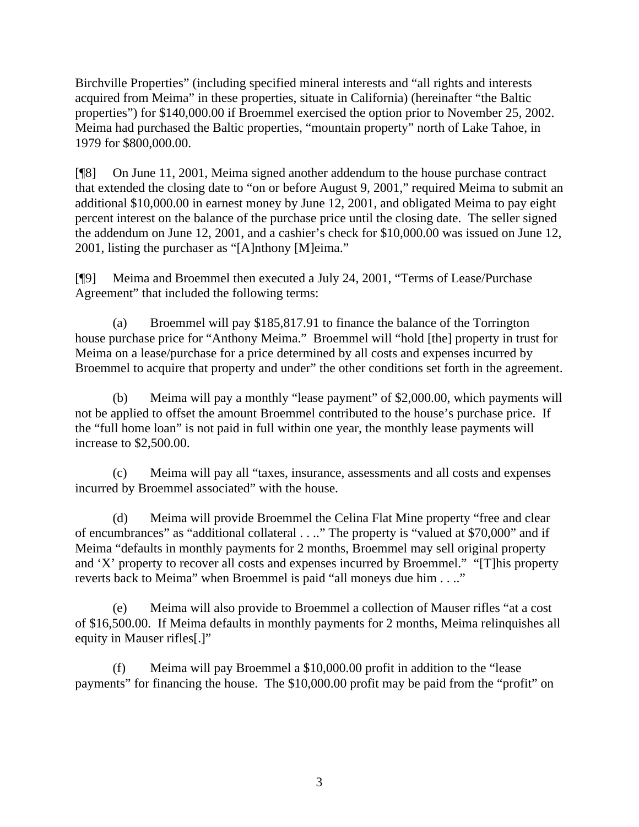Birchville Properties" (including specified mineral interests and "all rights and interests acquired from Meima" in these properties, situate in California) (hereinafter "the Baltic properties") for \$140,000.00 if Broemmel exercised the option prior to November 25, 2002. Meima had purchased the Baltic properties, "mountain property" north of Lake Tahoe, in 1979 for \$800,000.00.

[¶8] On June 11, 2001, Meima signed another addendum to the house purchase contract that extended the closing date to "on or before August 9, 2001," required Meima to submit an additional \$10,000.00 in earnest money by June 12, 2001, and obligated Meima to pay eight percent interest on the balance of the purchase price until the closing date. The seller signed the addendum on June 12, 2001, and a cashier's check for \$10,000.00 was issued on June 12, 2001, listing the purchaser as "[A]nthony [M]eima."

[¶9] Meima and Broemmel then executed a July 24, 2001, "Terms of Lease/Purchase Agreement" that included the following terms:

(a) Broemmel will pay \$185,817.91 to finance the balance of the Torrington house purchase price for "Anthony Meima." Broemmel will "hold [the] property in trust for Meima on a lease/purchase for a price determined by all costs and expenses incurred by Broemmel to acquire that property and under" the other conditions set forth in the agreement.

(b) Meima will pay a monthly "lease payment" of \$2,000.00, which payments will not be applied to offset the amount Broemmel contributed to the house's purchase price. If the "full home loan" is not paid in full within one year, the monthly lease payments will increase to \$2,500.00.

(c) Meima will pay all "taxes, insurance, assessments and all costs and expenses incurred by Broemmel associated" with the house.

(d) Meima will provide Broemmel the Celina Flat Mine property "free and clear of encumbrances" as "additional collateral . . .." The property is "valued at \$70,000" and if Meima "defaults in monthly payments for 2 months, Broemmel may sell original property and 'X' property to recover all costs and expenses incurred by Broemmel." "[T]his property reverts back to Meima" when Broemmel is paid "all moneys due him . . .."

(e) Meima will also provide to Broemmel a collection of Mauser rifles "at a cost of \$16,500.00. If Meima defaults in monthly payments for 2 months, Meima relinquishes all equity in Mauser rifles[.]"

(f) Meima will pay Broemmel a \$10,000.00 profit in addition to the "lease payments" for financing the house. The \$10,000.00 profit may be paid from the "profit" on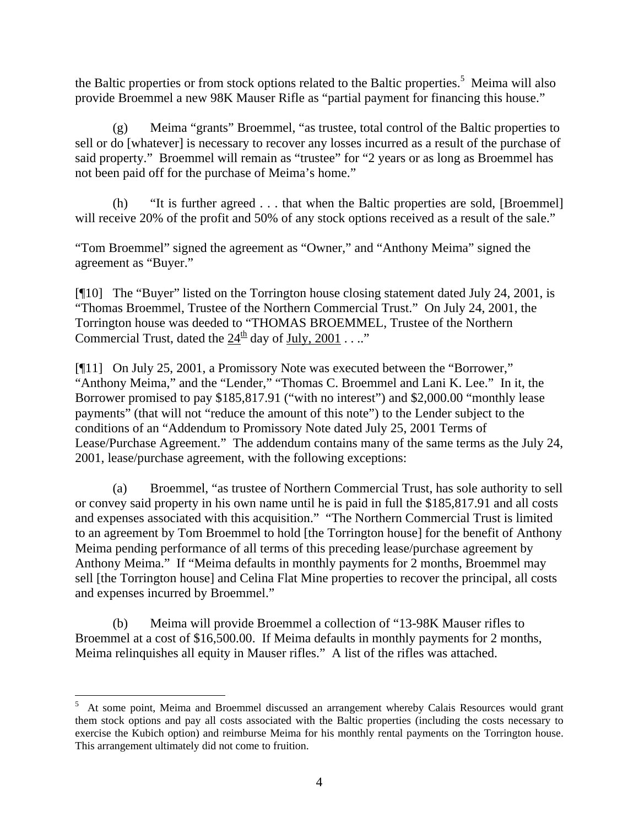the Baltic properties or from stock options related to the Baltic properties.<sup>5</sup> Meima will also provide Broemmel a new 98K Mauser Rifle as "partial payment for financing this house."

(g) Meima "grants" Broemmel, "as trustee, total control of the Baltic properties to sell or do [whatever] is necessary to recover any losses incurred as a result of the purchase of said property." Broemmel will remain as "trustee" for "2 years or as long as Broemmel has not been paid off for the purchase of Meima's home."

(h) "It is further agreed . . . that when the Baltic properties are sold, [Broemmel] will receive 20% of the profit and 50% of any stock options received as a result of the sale."

"Tom Broemmel" signed the agreement as "Owner," and "Anthony Meima" signed the agreement as "Buyer."

[¶10] The "Buyer" listed on the Torrington house closing statement dated July 24, 2001, is "Thomas Broemmel, Trustee of the Northern Commercial Trust." On July 24, 2001, the Torrington house was deeded to "THOMAS BROEMMEL, Trustee of the Northern Commercial Trust, dated the  $24<sup>th</sup>$  day of July, 2001 . . .."

[¶11] On July 25, 2001, a Promissory Note was executed between the "Borrower," "Anthony Meima," and the "Lender," "Thomas C. Broemmel and Lani K. Lee." In it, the Borrower promised to pay \$185,817.91 ("with no interest") and \$2,000.00 "monthly lease payments" (that will not "reduce the amount of this note") to the Lender subject to the conditions of an "Addendum to Promissory Note dated July 25, 2001 Terms of Lease/Purchase Agreement." The addendum contains many of the same terms as the July 24, 2001, lease/purchase agreement, with the following exceptions:

(a) Broemmel, "as trustee of Northern Commercial Trust, has sole authority to sell or convey said property in his own name until he is paid in full the \$185,817.91 and all costs and expenses associated with this acquisition." "The Northern Commercial Trust is limited to an agreement by Tom Broemmel to hold [the Torrington house] for the benefit of Anthony Meima pending performance of all terms of this preceding lease/purchase agreement by Anthony Meima." If "Meima defaults in monthly payments for 2 months, Broemmel may sell [the Torrington house] and Celina Flat Mine properties to recover the principal, all costs and expenses incurred by Broemmel."

(b) Meima will provide Broemmel a collection of "13-98K Mauser rifles to Broemmel at a cost of \$16,500.00. If Meima defaults in monthly payments for 2 months, Meima relinquishes all equity in Mauser rifles." A list of the rifles was attached.

 $\overline{a}$ 

<sup>5</sup> At some point, Meima and Broemmel discussed an arrangement whereby Calais Resources would grant them stock options and pay all costs associated with the Baltic properties (including the costs necessary to exercise the Kubich option) and reimburse Meima for his monthly rental payments on the Torrington house. This arrangement ultimately did not come to fruition.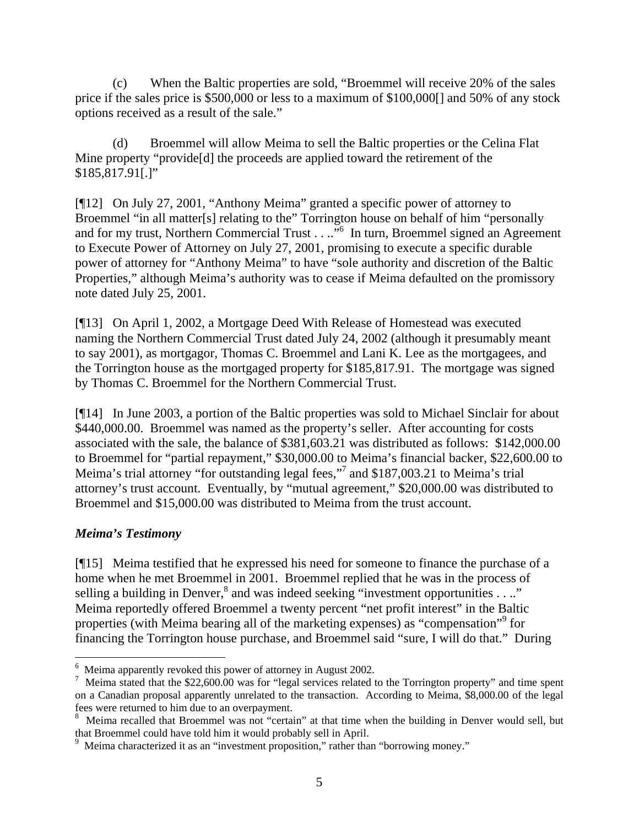(c) When the Baltic properties are sold, "Broemmel will receive 20% of the sales price if the sales price is \$500,000 or less to a maximum of \$100,000[] and 50% of any stock options received as a result of the sale."

(d) Broemmel will allow Meima to sell the Baltic properties or the Celina Flat Mine property "provide[d] the proceeds are applied toward the retirement of the \$185,817.91[.]"

[¶12] On July 27, 2001, "Anthony Meima" granted a specific power of attorney to Broemmel "in all matter[s] relating to the" Torrington house on behalf of him "personally and for my trust, Northern Commercial Trust . . ..<sup>"6</sup> In turn, Broemmel signed an Agreement to Execute Power of Attorney on July 27, 2001, promising to execute a specific durable power of attorney for "Anthony Meima" to have "sole authority and discretion of the Baltic Properties," although Meima's authority was to cease if Meima defaulted on the promissory note dated July 25, 2001.

[¶13] On April 1, 2002, a Mortgage Deed With Release of Homestead was executed naming the Northern Commercial Trust dated July 24, 2002 (although it presumably meant to say 2001), as mortgagor, Thomas C. Broemmel and Lani K. Lee as the mortgagees, and the Torrington house as the mortgaged property for \$185,817.91. The mortgage was signed by Thomas C. Broemmel for the Northern Commercial Trust.

[¶14] In June 2003, a portion of the Baltic properties was sold to Michael Sinclair for about \$440,000.00. Broemmel was named as the property's seller. After accounting for costs associated with the sale, the balance of \$381,603.21 was distributed as follows: \$142,000.00 to Broemmel for "partial repayment," \$30,000.00 to Meima's financial backer, \$22,600.00 to Meima's trial attorney "for outstanding legal fees,"<sup>7</sup> and \$187,003.21 to Meima's trial attorney's trust account. Eventually, by "mutual agreement," \$20,000.00 was distributed to Broemmel and \$15,000.00 was distributed to Meima from the trust account.

#### *Meima's Testimony*

[¶15] Meima testified that he expressed his need for someone to finance the purchase of a home when he met Broemmel in 2001. Broemmel replied that he was in the process of selling a building in Denver, $^8$  and was indeed seeking "investment opportunities . . .." Meima reportedly offered Broemmel a twenty percent "net profit interest" in the Baltic properties (with Meima bearing all of the marketing expenses) as "compensation"<sup>9</sup> for financing the Torrington house purchase, and Broemmel said "sure, I will do that." During

 $^6$  Meima apparently revoked this power of attorney in August 2002.

<sup>&</sup>lt;sup>7</sup> Meima stated that the \$22,600.00 was for "legal services related to the Torrington property" and time spent on a Canadian proposal apparently unrelated to the transaction. According to Meima, \$8,000.00 of the legal fees were returned to him due to an overpayment.

<sup>8</sup> Meima recalled that Broemmel was not "certain" at that time when the building in Denver would sell, but that Broemmel could have told him it would probably sell in April.<br><sup>9</sup> Meima characterized it as an "investment proposition," rather than "borrowing money."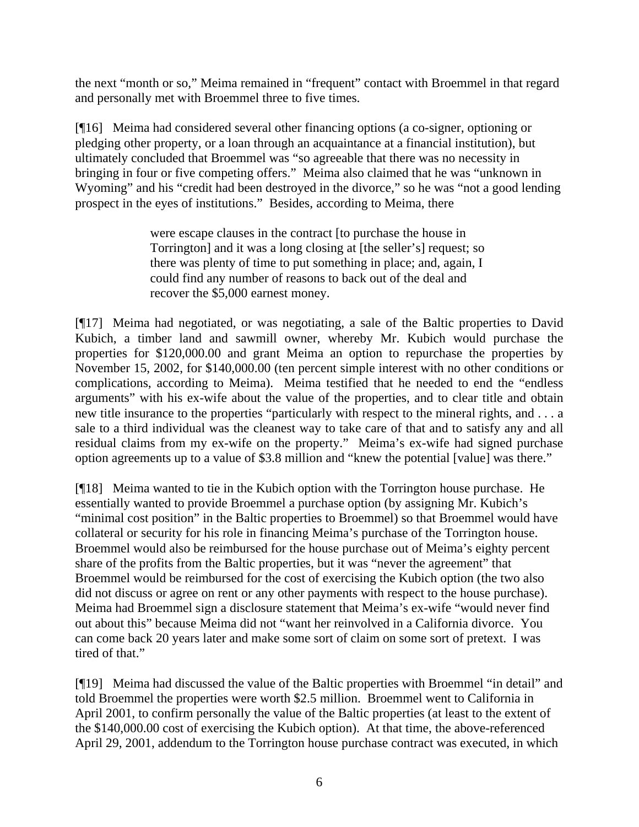the next "month or so," Meima remained in "frequent" contact with Broemmel in that regard and personally met with Broemmel three to five times.

[¶16] Meima had considered several other financing options (a co-signer, optioning or pledging other property, or a loan through an acquaintance at a financial institution), but ultimately concluded that Broemmel was "so agreeable that there was no necessity in bringing in four or five competing offers." Meima also claimed that he was "unknown in Wyoming" and his "credit had been destroyed in the divorce," so he was "not a good lending prospect in the eyes of institutions." Besides, according to Meima, there

> were escape clauses in the contract [to purchase the house in Torrington] and it was a long closing at [the seller's] request; so there was plenty of time to put something in place; and, again, I could find any number of reasons to back out of the deal and recover the \$5,000 earnest money.

[¶17] Meima had negotiated, or was negotiating, a sale of the Baltic properties to David Kubich, a timber land and sawmill owner, whereby Mr. Kubich would purchase the properties for \$120,000.00 and grant Meima an option to repurchase the properties by November 15, 2002, for \$140,000.00 (ten percent simple interest with no other conditions or complications, according to Meima). Meima testified that he needed to end the "endless arguments" with his ex-wife about the value of the properties, and to clear title and obtain new title insurance to the properties "particularly with respect to the mineral rights, and . . . a sale to a third individual was the cleanest way to take care of that and to satisfy any and all residual claims from my ex-wife on the property." Meima's ex-wife had signed purchase option agreements up to a value of \$3.8 million and "knew the potential [value] was there."

[¶18] Meima wanted to tie in the Kubich option with the Torrington house purchase. He essentially wanted to provide Broemmel a purchase option (by assigning Mr. Kubich's "minimal cost position" in the Baltic properties to Broemmel) so that Broemmel would have collateral or security for his role in financing Meima's purchase of the Torrington house. Broemmel would also be reimbursed for the house purchase out of Meima's eighty percent share of the profits from the Baltic properties, but it was "never the agreement" that Broemmel would be reimbursed for the cost of exercising the Kubich option (the two also did not discuss or agree on rent or any other payments with respect to the house purchase). Meima had Broemmel sign a disclosure statement that Meima's ex-wife "would never find out about this" because Meima did not "want her reinvolved in a California divorce. You can come back 20 years later and make some sort of claim on some sort of pretext. I was tired of that."

[¶19] Meima had discussed the value of the Baltic properties with Broemmel "in detail" and told Broemmel the properties were worth \$2.5 million. Broemmel went to California in April 2001, to confirm personally the value of the Baltic properties (at least to the extent of the \$140,000.00 cost of exercising the Kubich option). At that time, the above-referenced April 29, 2001, addendum to the Torrington house purchase contract was executed, in which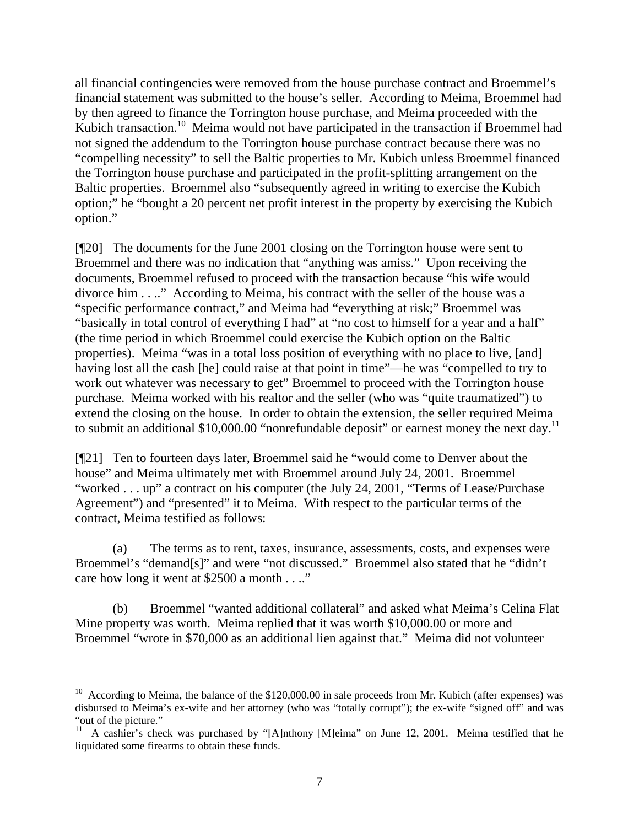all financial contingencies were removed from the house purchase contract and Broemmel's financial statement was submitted to the house's seller. According to Meima, Broemmel had by then agreed to finance the Torrington house purchase, and Meima proceeded with the Kubich transaction.<sup>10</sup> Meima would not have participated in the transaction if Broemmel had not signed the addendum to the Torrington house purchase contract because there was no "compelling necessity" to sell the Baltic properties to Mr. Kubich unless Broemmel financed the Torrington house purchase and participated in the profit-splitting arrangement on the Baltic properties. Broemmel also "subsequently agreed in writing to exercise the Kubich option;" he "bought a 20 percent net profit interest in the property by exercising the Kubich option."

[¶20] The documents for the June 2001 closing on the Torrington house were sent to Broemmel and there was no indication that "anything was amiss." Upon receiving the documents, Broemmel refused to proceed with the transaction because "his wife would divorce him . . .." According to Meima, his contract with the seller of the house was a "specific performance contract," and Meima had "everything at risk;" Broemmel was "basically in total control of everything I had" at "no cost to himself for a year and a half" (the time period in which Broemmel could exercise the Kubich option on the Baltic properties). Meima "was in a total loss position of everything with no place to live, [and] having lost all the cash [he] could raise at that point in time"—he was "compelled to try to work out whatever was necessary to get" Broemmel to proceed with the Torrington house purchase. Meima worked with his realtor and the seller (who was "quite traumatized") to extend the closing on the house. In order to obtain the extension, the seller required Meima to submit an additional \$10,000.00 "nonrefundable deposit" or earnest money the next day.<sup>11</sup>

[¶21] Ten to fourteen days later, Broemmel said he "would come to Denver about the house" and Meima ultimately met with Broemmel around July 24, 2001. Broemmel "worked . . . up" a contract on his computer (the July 24, 2001, "Terms of Lease/Purchase Agreement") and "presented" it to Meima. With respect to the particular terms of the contract, Meima testified as follows:

(a) The terms as to rent, taxes, insurance, assessments, costs, and expenses were Broemmel's "demand[s]" and were "not discussed." Broemmel also stated that he "didn't care how long it went at \$2500 a month . . .."

(b) Broemmel "wanted additional collateral" and asked what Meima's Celina Flat Mine property was worth. Meima replied that it was worth \$10,000.00 or more and Broemmel "wrote in \$70,000 as an additional lien against that." Meima did not volunteer

 $\overline{a}$ 

 $10$  According to Meima, the balance of the \$120,000.00 in sale proceeds from Mr. Kubich (after expenses) was disbursed to Meima's ex-wife and her attorney (who was "totally corrupt"); the ex-wife "signed off" and was "out of the picture."

<sup>&</sup>lt;sup>11</sup> A cashier's check was purchased by "[A]nthony [M]eima" on June 12, 2001. Meima testified that he liquidated some firearms to obtain these funds.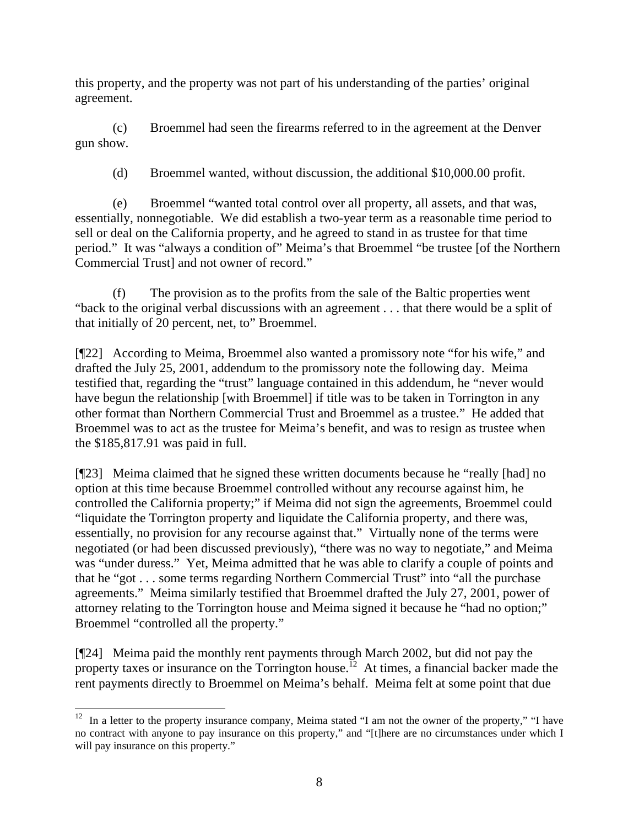this property, and the property was not part of his understanding of the parties' original agreement.

(c) Broemmel had seen the firearms referred to in the agreement at the Denver gun show.

(d) Broemmel wanted, without discussion, the additional \$10,000.00 profit.

(e) Broemmel "wanted total control over all property, all assets, and that was, essentially, nonnegotiable. We did establish a two-year term as a reasonable time period to sell or deal on the California property, and he agreed to stand in as trustee for that time period." It was "always a condition of" Meima's that Broemmel "be trustee [of the Northern Commercial Trust] and not owner of record."

(f) The provision as to the profits from the sale of the Baltic properties went "back to the original verbal discussions with an agreement . . . that there would be a split of that initially of 20 percent, net, to" Broemmel.

[¶22] According to Meima, Broemmel also wanted a promissory note "for his wife," and drafted the July 25, 2001, addendum to the promissory note the following day. Meima testified that, regarding the "trust" language contained in this addendum, he "never would have begun the relationship [with Broemmel] if title was to be taken in Torrington in any other format than Northern Commercial Trust and Broemmel as a trustee." He added that Broemmel was to act as the trustee for Meima's benefit, and was to resign as trustee when the \$185,817.91 was paid in full.

[¶23] Meima claimed that he signed these written documents because he "really [had] no option at this time because Broemmel controlled without any recourse against him, he controlled the California property;" if Meima did not sign the agreements, Broemmel could "liquidate the Torrington property and liquidate the California property, and there was, essentially, no provision for any recourse against that." Virtually none of the terms were negotiated (or had been discussed previously), "there was no way to negotiate," and Meima was "under duress." Yet, Meima admitted that he was able to clarify a couple of points and that he "got . . . some terms regarding Northern Commercial Trust" into "all the purchase agreements." Meima similarly testified that Broemmel drafted the July 27, 2001, power of attorney relating to the Torrington house and Meima signed it because he "had no option;" Broemmel "controlled all the property."

[¶24] Meima paid the monthly rent payments through March 2002, but did not pay the property taxes or insurance on the Torrington house.<sup>12</sup> At times, a financial backer made the rent payments directly to Broemmel on Meima's behalf. Meima felt at some point that due

 $\overline{a}$  $12$  In a letter to the property insurance company, Meima stated "I am not the owner of the property," "I have no contract with anyone to pay insurance on this property," and "[t]here are no circumstances under which I will pay insurance on this property."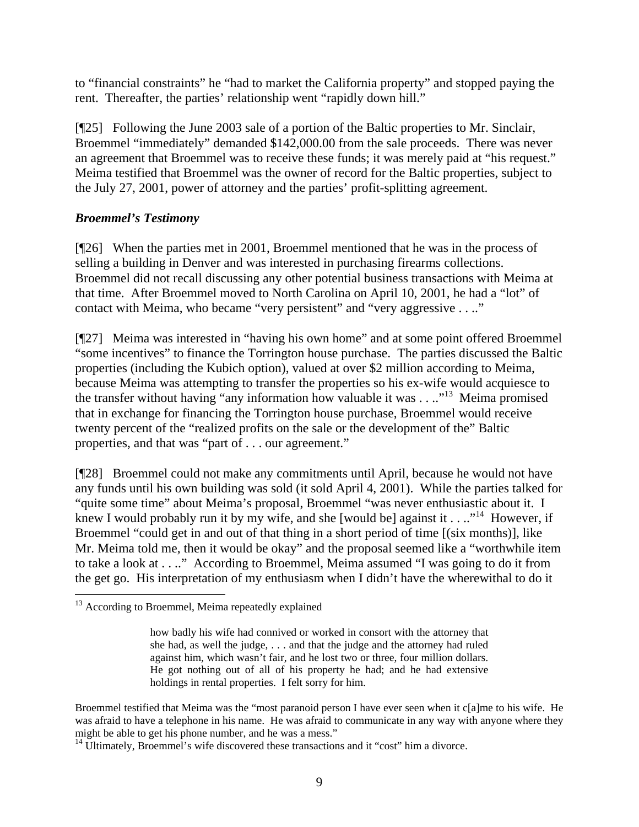to "financial constraints" he "had to market the California property" and stopped paying the rent. Thereafter, the parties' relationship went "rapidly down hill."

[¶25] Following the June 2003 sale of a portion of the Baltic properties to Mr. Sinclair, Broemmel "immediately" demanded \$142,000.00 from the sale proceeds. There was never an agreement that Broemmel was to receive these funds; it was merely paid at "his request." Meima testified that Broemmel was the owner of record for the Baltic properties, subject to the July 27, 2001, power of attorney and the parties' profit-splitting agreement.

## *Broemmel's Testimony*

[¶26] When the parties met in 2001, Broemmel mentioned that he was in the process of selling a building in Denver and was interested in purchasing firearms collections. Broemmel did not recall discussing any other potential business transactions with Meima at that time. After Broemmel moved to North Carolina on April 10, 2001, he had a "lot" of contact with Meima, who became "very persistent" and "very aggressive . . .."

[¶27] Meima was interested in "having his own home" and at some point offered Broemmel "some incentives" to finance the Torrington house purchase. The parties discussed the Baltic properties (including the Kubich option), valued at over \$2 million according to Meima, because Meima was attempting to transfer the properties so his ex-wife would acquiesce to the transfer without having "any information how valuable it was  $\dots$ "<sup>13</sup>. Meima promised that in exchange for financing the Torrington house purchase, Broemmel would receive twenty percent of the "realized profits on the sale or the development of the" Baltic properties, and that was "part of . . . our agreement."

[¶28] Broemmel could not make any commitments until April, because he would not have any funds until his own building was sold (it sold April 4, 2001). While the parties talked for "quite some time" about Meima's proposal, Broemmel "was never enthusiastic about it. I knew I would probably run it by my wife, and she [would be] against it  $\dots$  <sup>14</sup> However, if Broemmel "could get in and out of that thing in a short period of time [(six months)], like Mr. Meima told me, then it would be okay" and the proposal seemed like a "worthwhile item to take a look at . . .." According to Broemmel, Meima assumed "I was going to do it from the get go. His interpretation of my enthusiasm when I didn't have the wherewithal to do it

  $13$  According to Broemmel, Meima repeatedly explained

how badly his wife had connived or worked in consort with the attorney that she had, as well the judge, . . . and that the judge and the attorney had ruled against him, which wasn't fair, and he lost two or three, four million dollars. He got nothing out of all of his property he had; and he had extensive holdings in rental properties. I felt sorry for him.

Broemmel testified that Meima was the "most paranoid person I have ever seen when it c[a]me to his wife. He was afraid to have a telephone in his name. He was afraid to communicate in any way with anyone where they might be able to get his phone number, and he was a mess."

<sup>&</sup>lt;sup>14</sup> Ultimately, Broemmel's wife discovered these transactions and it "cost" him a divorce.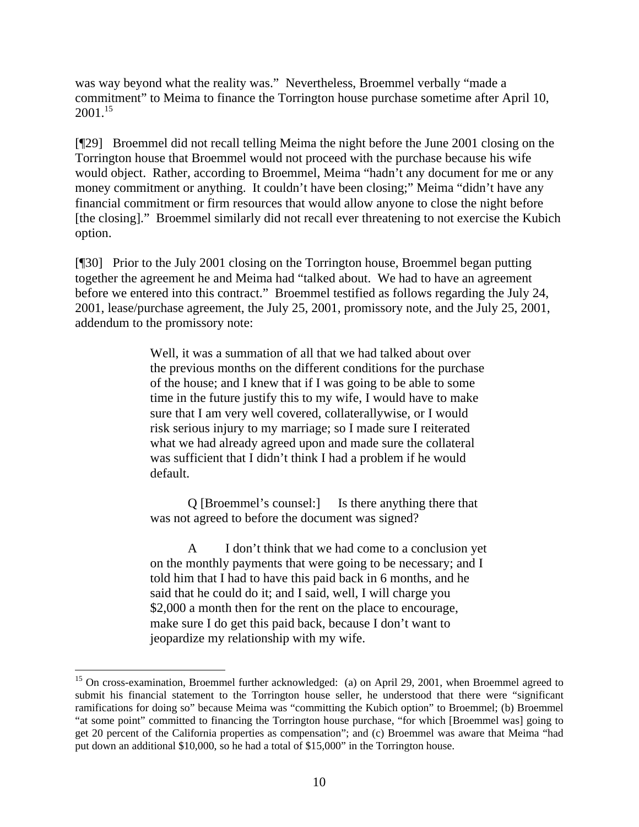was way beyond what the reality was." Nevertheless, Broemmel verbally "made a commitment" to Meima to finance the Torrington house purchase sometime after April 10,  $2001.<sup>15</sup>$ 

[¶29] Broemmel did not recall telling Meima the night before the June 2001 closing on the Torrington house that Broemmel would not proceed with the purchase because his wife would object. Rather, according to Broemmel, Meima "hadn't any document for me or any money commitment or anything. It couldn't have been closing;" Meima "didn't have any financial commitment or firm resources that would allow anyone to close the night before [the closing]." Broemmel similarly did not recall ever threatening to not exercise the Kubich option.

[¶30] Prior to the July 2001 closing on the Torrington house, Broemmel began putting together the agreement he and Meima had "talked about. We had to have an agreement before we entered into this contract." Broemmel testified as follows regarding the July 24, 2001, lease/purchase agreement, the July 25, 2001, promissory note, and the July 25, 2001, addendum to the promissory note:

> Well, it was a summation of all that we had talked about over the previous months on the different conditions for the purchase of the house; and I knew that if I was going to be able to some time in the future justify this to my wife, I would have to make sure that I am very well covered, collaterallywise, or I would risk serious injury to my marriage; so I made sure I reiterated what we had already agreed upon and made sure the collateral was sufficient that I didn't think I had a problem if he would default.

Q [Broemmel's counsel:] Is there anything there that was not agreed to before the document was signed?

A I don't think that we had come to a conclusion yet on the monthly payments that were going to be necessary; and I told him that I had to have this paid back in 6 months, and he said that he could do it; and I said, well, I will charge you \$2,000 a month then for the rent on the place to encourage, make sure I do get this paid back, because I don't want to jeopardize my relationship with my wife.

 $\overline{a}$ 

<sup>&</sup>lt;sup>15</sup> On cross-examination, Broemmel further acknowledged: (a) on April 29, 2001, when Broemmel agreed to submit his financial statement to the Torrington house seller, he understood that there were "significant ramifications for doing so" because Meima was "committing the Kubich option" to Broemmel; (b) Broemmel "at some point" committed to financing the Torrington house purchase, "for which [Broemmel was] going to get 20 percent of the California properties as compensation"; and (c) Broemmel was aware that Meima "had put down an additional \$10,000, so he had a total of \$15,000" in the Torrington house.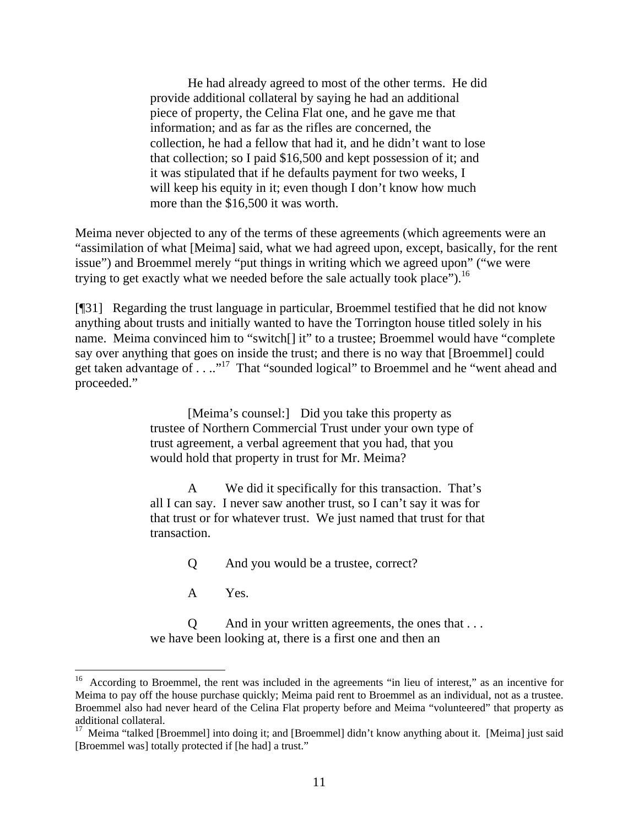He had already agreed to most of the other terms. He did provide additional collateral by saying he had an additional piece of property, the Celina Flat one, and he gave me that information; and as far as the rifles are concerned, the collection, he had a fellow that had it, and he didn't want to lose that collection; so I paid \$16,500 and kept possession of it; and it was stipulated that if he defaults payment for two weeks, I will keep his equity in it; even though I don't know how much more than the \$16,500 it was worth.

Meima never objected to any of the terms of these agreements (which agreements were an "assimilation of what [Meima] said, what we had agreed upon, except, basically, for the rent issue") and Broemmel merely "put things in writing which we agreed upon" ("we were trying to get exactly what we needed before the sale actually took place").<sup>16</sup>

[¶31] Regarding the trust language in particular, Broemmel testified that he did not know anything about trusts and initially wanted to have the Torrington house titled solely in his name. Meima convinced him to "switch[] it" to a trustee; Broemmel would have "complete say over anything that goes on inside the trust; and there is no way that [Broemmel] could get taken advantage of . . .."17 That "sounded logical" to Broemmel and he "went ahead and proceeded."

> [Meima's counsel:] Did you take this property as trustee of Northern Commercial Trust under your own type of trust agreement, a verbal agreement that you had, that you would hold that property in trust for Mr. Meima?

A We did it specifically for this transaction. That's all I can say. I never saw another trust, so I can't say it was for that trust or for whatever trust. We just named that trust for that transaction.

Q And you would be a trustee, correct?

A Yes.

Q And in your written agreements, the ones that . . . we have been looking at, there is a first one and then an

<sup>&</sup>lt;sup>16</sup> According to Broemmel, the rent was included in the agreements "in lieu of interest," as an incentive for Meima to pay off the house purchase quickly; Meima paid rent to Broemmel as an individual, not as a trustee. Broemmel also had never heard of the Celina Flat property before and Meima "volunteered" that property as additional collateral.<br><sup>17</sup> Meima "talked [Broemmel] into doing it; and [Broemmel] didn't know anything about it. [Meima] just said

<sup>[</sup>Broemmel was] totally protected if [he had] a trust."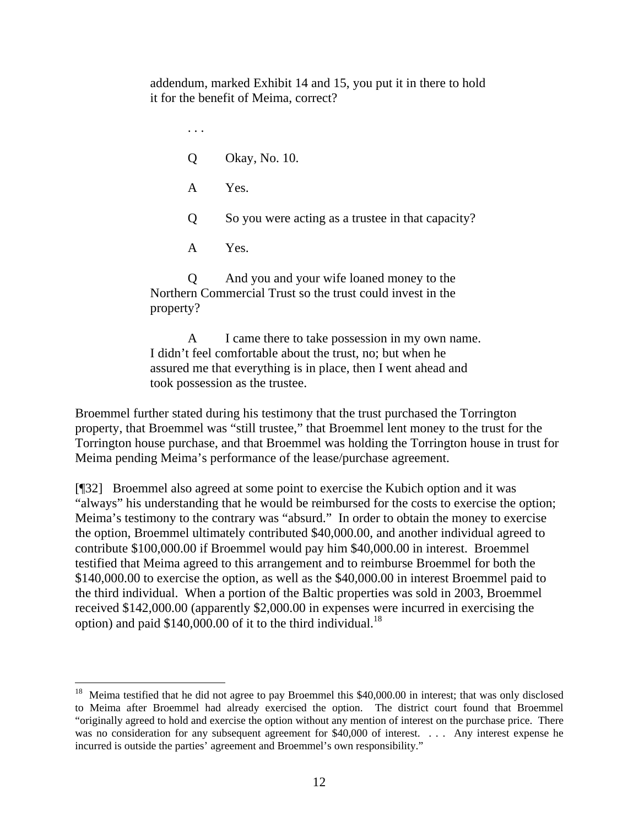addendum, marked Exhibit 14 and 15, you put it in there to hold it for the benefit of Meima, correct?

. . . Q Okay, No. 10. A Yes. Q So you were acting as a trustee in that capacity? A Yes. Q And you and your wife loaned money to the Northern Commercial Trust so the trust could invest in the property?

A I came there to take possession in my own name. I didn't feel comfortable about the trust, no; but when he assured me that everything is in place, then I went ahead and took possession as the trustee.

Broemmel further stated during his testimony that the trust purchased the Torrington property, that Broemmel was "still trustee," that Broemmel lent money to the trust for the Torrington house purchase, and that Broemmel was holding the Torrington house in trust for Meima pending Meima's performance of the lease/purchase agreement.

[¶32] Broemmel also agreed at some point to exercise the Kubich option and it was "always" his understanding that he would be reimbursed for the costs to exercise the option; Meima's testimony to the contrary was "absurd." In order to obtain the money to exercise the option, Broemmel ultimately contributed \$40,000.00, and another individual agreed to contribute \$100,000.00 if Broemmel would pay him \$40,000.00 in interest. Broemmel testified that Meima agreed to this arrangement and to reimburse Broemmel for both the \$140,000.00 to exercise the option, as well as the \$40,000.00 in interest Broemmel paid to the third individual. When a portion of the Baltic properties was sold in 2003, Broemmel received \$142,000.00 (apparently \$2,000.00 in expenses were incurred in exercising the option) and paid  $$140,000.00$  of it to the third individual.<sup>18</sup>

l

<sup>&</sup>lt;sup>18</sup> Meima testified that he did not agree to pay Broemmel this \$40,000.00 in interest; that was only disclosed to Meima after Broemmel had already exercised the option. The district court found that Broemmel "originally agreed to hold and exercise the option without any mention of interest on the purchase price. There was no consideration for any subsequent agreement for \$40,000 of interest. . . . Any interest expense he incurred is outside the parties' agreement and Broemmel's own responsibility."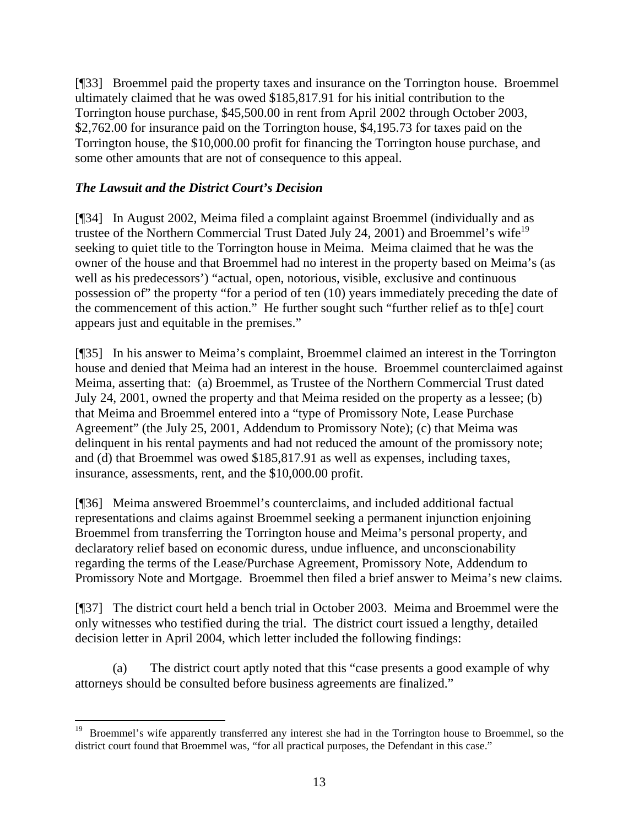[¶33] Broemmel paid the property taxes and insurance on the Torrington house. Broemmel ultimately claimed that he was owed \$185,817.91 for his initial contribution to the Torrington house purchase, \$45,500.00 in rent from April 2002 through October 2003, \$2,762.00 for insurance paid on the Torrington house, \$4,195.73 for taxes paid on the Torrington house, the \$10,000.00 profit for financing the Torrington house purchase, and some other amounts that are not of consequence to this appeal.

## *The Lawsuit and the District Court's Decision*

 $\overline{a}$ 

[¶34] In August 2002, Meima filed a complaint against Broemmel (individually and as trustee of the Northern Commercial Trust Dated July 24, 2001) and Broemmel's wife<sup>19</sup> seeking to quiet title to the Torrington house in Meima. Meima claimed that he was the owner of the house and that Broemmel had no interest in the property based on Meima's (as well as his predecessors') "actual, open, notorious, visible, exclusive and continuous possession of" the property "for a period of ten (10) years immediately preceding the date of the commencement of this action." He further sought such "further relief as to th[e] court appears just and equitable in the premises."

[¶35] In his answer to Meima's complaint, Broemmel claimed an interest in the Torrington house and denied that Meima had an interest in the house. Broemmel counterclaimed against Meima, asserting that: (a) Broemmel, as Trustee of the Northern Commercial Trust dated July 24, 2001, owned the property and that Meima resided on the property as a lessee; (b) that Meima and Broemmel entered into a "type of Promissory Note, Lease Purchase Agreement" (the July 25, 2001, Addendum to Promissory Note); (c) that Meima was delinquent in his rental payments and had not reduced the amount of the promissory note; and (d) that Broemmel was owed \$185,817.91 as well as expenses, including taxes, insurance, assessments, rent, and the \$10,000.00 profit.

[¶36] Meima answered Broemmel's counterclaims, and included additional factual representations and claims against Broemmel seeking a permanent injunction enjoining Broemmel from transferring the Torrington house and Meima's personal property, and declaratory relief based on economic duress, undue influence, and unconscionability regarding the terms of the Lease/Purchase Agreement, Promissory Note, Addendum to Promissory Note and Mortgage. Broemmel then filed a brief answer to Meima's new claims.

[¶37] The district court held a bench trial in October 2003. Meima and Broemmel were the only witnesses who testified during the trial. The district court issued a lengthy, detailed decision letter in April 2004, which letter included the following findings:

(a) The district court aptly noted that this "case presents a good example of why attorneys should be consulted before business agreements are finalized."

<sup>&</sup>lt;sup>19</sup> Broemmel's wife apparently transferred any interest she had in the Torrington house to Broemmel, so the district court found that Broemmel was, "for all practical purposes, the Defendant in this case."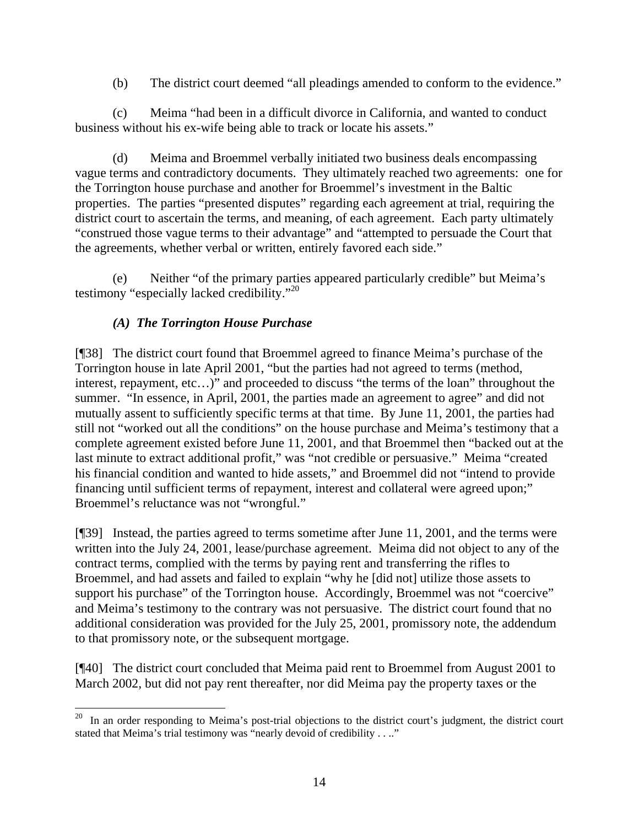(b) The district court deemed "all pleadings amended to conform to the evidence."

(c) Meima "had been in a difficult divorce in California, and wanted to conduct business without his ex-wife being able to track or locate his assets."

(d) Meima and Broemmel verbally initiated two business deals encompassing vague terms and contradictory documents. They ultimately reached two agreements: one for the Torrington house purchase and another for Broemmel's investment in the Baltic properties. The parties "presented disputes" regarding each agreement at trial, requiring the district court to ascertain the terms, and meaning, of each agreement. Each party ultimately "construed those vague terms to their advantage" and "attempted to persuade the Court that the agreements, whether verbal or written, entirely favored each side."

(e) Neither "of the primary parties appeared particularly credible" but Meima's testimony "especially lacked credibility."20

# *(A) The Torrington House Purchase*

[¶38] The district court found that Broemmel agreed to finance Meima's purchase of the Torrington house in late April 2001, "but the parties had not agreed to terms (method, interest, repayment, etc…)" and proceeded to discuss "the terms of the loan" throughout the summer. "In essence, in April, 2001, the parties made an agreement to agree" and did not mutually assent to sufficiently specific terms at that time. By June 11, 2001, the parties had still not "worked out all the conditions" on the house purchase and Meima's testimony that a complete agreement existed before June 11, 2001, and that Broemmel then "backed out at the last minute to extract additional profit," was "not credible or persuasive." Meima "created his financial condition and wanted to hide assets," and Broemmel did not "intend to provide financing until sufficient terms of repayment, interest and collateral were agreed upon;" Broemmel's reluctance was not "wrongful."

[¶39] Instead, the parties agreed to terms sometime after June 11, 2001, and the terms were written into the July 24, 2001, lease/purchase agreement. Meima did not object to any of the contract terms, complied with the terms by paying rent and transferring the rifles to Broemmel, and had assets and failed to explain "why he [did not] utilize those assets to support his purchase" of the Torrington house. Accordingly, Broemmel was not "coercive" and Meima's testimony to the contrary was not persuasive. The district court found that no additional consideration was provided for the July 25, 2001, promissory note, the addendum to that promissory note, or the subsequent mortgage.

[¶40] The district court concluded that Meima paid rent to Broemmel from August 2001 to March 2002, but did not pay rent thereafter, nor did Meima pay the property taxes or the

 $20$  In an order responding to Meima's post-trial objections to the district court's judgment, the district court stated that Meima's trial testimony was "nearly devoid of credibility . . .."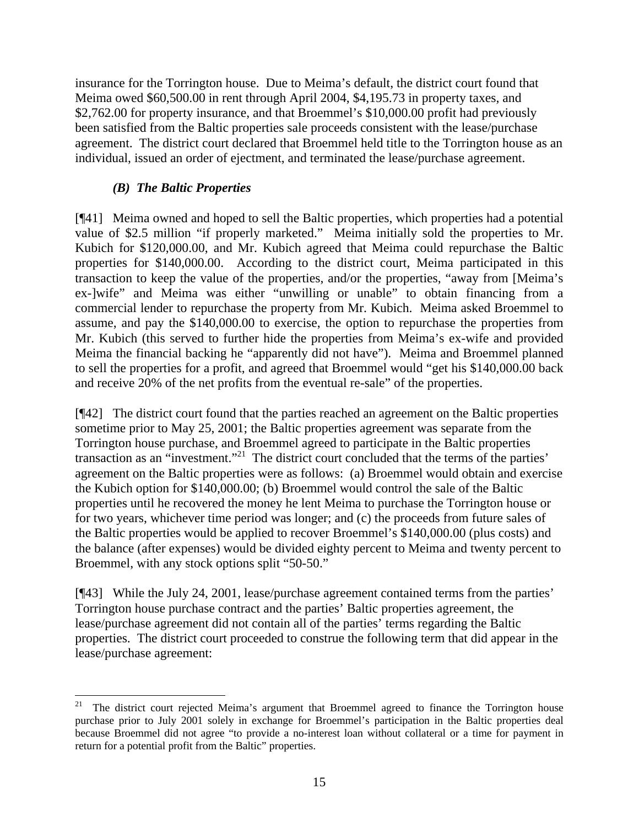insurance for the Torrington house. Due to Meima's default, the district court found that Meima owed \$60,500.00 in rent through April 2004, \$4,195.73 in property taxes, and \$2,762.00 for property insurance, and that Broemmel's \$10,000.00 profit had previously been satisfied from the Baltic properties sale proceeds consistent with the lease/purchase agreement. The district court declared that Broemmel held title to the Torrington house as an individual, issued an order of ejectment, and terminated the lease/purchase agreement.

# *(B) The Baltic Properties*

[¶41] Meima owned and hoped to sell the Baltic properties, which properties had a potential value of \$2.5 million "if properly marketed." Meima initially sold the properties to Mr. Kubich for \$120,000.00, and Mr. Kubich agreed that Meima could repurchase the Baltic properties for \$140,000.00. According to the district court, Meima participated in this transaction to keep the value of the properties, and/or the properties, "away from [Meima's ex-]wife" and Meima was either "unwilling or unable" to obtain financing from a commercial lender to repurchase the property from Mr. Kubich. Meima asked Broemmel to assume, and pay the \$140,000.00 to exercise, the option to repurchase the properties from Mr. Kubich (this served to further hide the properties from Meima's ex-wife and provided Meima the financial backing he "apparently did not have"). Meima and Broemmel planned to sell the properties for a profit, and agreed that Broemmel would "get his \$140,000.00 back and receive 20% of the net profits from the eventual re-sale" of the properties.

[¶42] The district court found that the parties reached an agreement on the Baltic properties sometime prior to May 25, 2001; the Baltic properties agreement was separate from the Torrington house purchase, and Broemmel agreed to participate in the Baltic properties transaction as an "investment."21 The district court concluded that the terms of the parties' agreement on the Baltic properties were as follows: (a) Broemmel would obtain and exercise the Kubich option for \$140,000.00; (b) Broemmel would control the sale of the Baltic properties until he recovered the money he lent Meima to purchase the Torrington house or for two years, whichever time period was longer; and (c) the proceeds from future sales of the Baltic properties would be applied to recover Broemmel's \$140,000.00 (plus costs) and the balance (after expenses) would be divided eighty percent to Meima and twenty percent to Broemmel, with any stock options split "50-50."

[¶43] While the July 24, 2001, lease/purchase agreement contained terms from the parties' Torrington house purchase contract and the parties' Baltic properties agreement, the lease/purchase agreement did not contain all of the parties' terms regarding the Baltic properties. The district court proceeded to construe the following term that did appear in the lease/purchase agreement:

<sup>21</sup> 21 The district court rejected Meima's argument that Broemmel agreed to finance the Torrington house purchase prior to July 2001 solely in exchange for Broemmel's participation in the Baltic properties deal because Broemmel did not agree "to provide a no-interest loan without collateral or a time for payment in return for a potential profit from the Baltic" properties.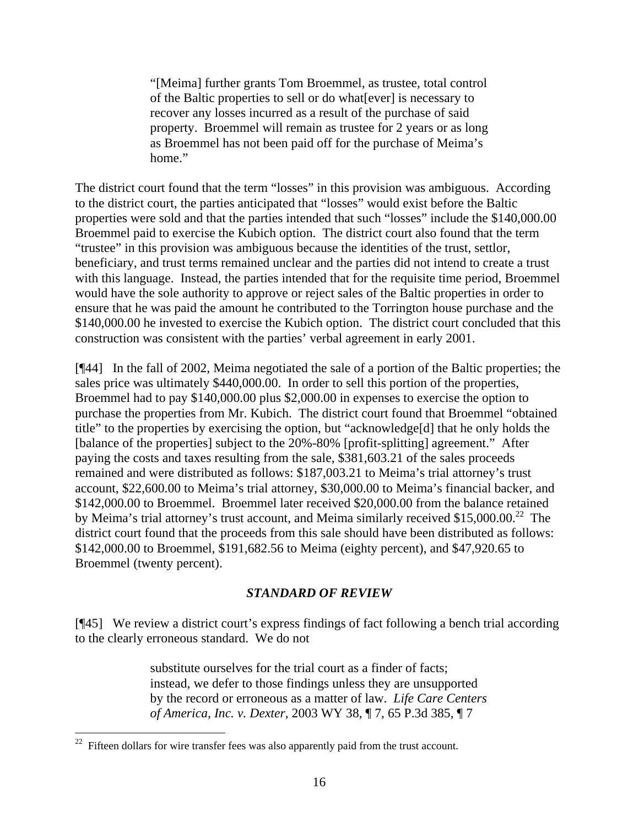"[Meima] further grants Tom Broemmel, as trustee, total control of the Baltic properties to sell or do what[ever] is necessary to recover any losses incurred as a result of the purchase of said property. Broemmel will remain as trustee for 2 years or as long as Broemmel has not been paid off for the purchase of Meima's home."

The district court found that the term "losses" in this provision was ambiguous. According to the district court, the parties anticipated that "losses" would exist before the Baltic properties were sold and that the parties intended that such "losses" include the \$140,000.00 Broemmel paid to exercise the Kubich option. The district court also found that the term "trustee" in this provision was ambiguous because the identities of the trust, settlor, beneficiary, and trust terms remained unclear and the parties did not intend to create a trust with this language. Instead, the parties intended that for the requisite time period, Broemmel would have the sole authority to approve or reject sales of the Baltic properties in order to ensure that he was paid the amount he contributed to the Torrington house purchase and the \$140,000.00 he invested to exercise the Kubich option. The district court concluded that this construction was consistent with the parties' verbal agreement in early 2001.

[¶44] In the fall of 2002, Meima negotiated the sale of a portion of the Baltic properties; the sales price was ultimately \$440,000.00. In order to sell this portion of the properties, Broemmel had to pay \$140,000.00 plus \$2,000.00 in expenses to exercise the option to purchase the properties from Mr. Kubich. The district court found that Broemmel "obtained title" to the properties by exercising the option, but "acknowledge[d] that he only holds the [balance of the properties] subject to the 20%-80% [profit-splitting] agreement." After paying the costs and taxes resulting from the sale, \$381,603.21 of the sales proceeds remained and were distributed as follows: \$187,003.21 to Meima's trial attorney's trust account, \$22,600.00 to Meima's trial attorney, \$30,000.00 to Meima's financial backer, and \$142,000.00 to Broemmel. Broemmel later received \$20,000.00 from the balance retained by Meima's trial attorney's trust account, and Meima similarly received \$15,000.00.<sup>22</sup> The district court found that the proceeds from this sale should have been distributed as follows: \$142,000.00 to Broemmel, \$191,682.56 to Meima (eighty percent), and \$47,920.65 to Broemmel (twenty percent).

#### *STANDARD OF REVIEW*

[¶45] We review a district court's express findings of fact following a bench trial according to the clearly erroneous standard. We do not

> substitute ourselves for the trial court as a finder of facts; instead, we defer to those findings unless they are unsupported by the record or erroneous as a matter of law. *Life Care Centers of America, Inc. v. Dexter*, 2003 WY 38, ¶ 7, 65 P.3d 385, ¶ 7

 $\overline{a}$ 

 $22$  Fifteen dollars for wire transfer fees was also apparently paid from the trust account.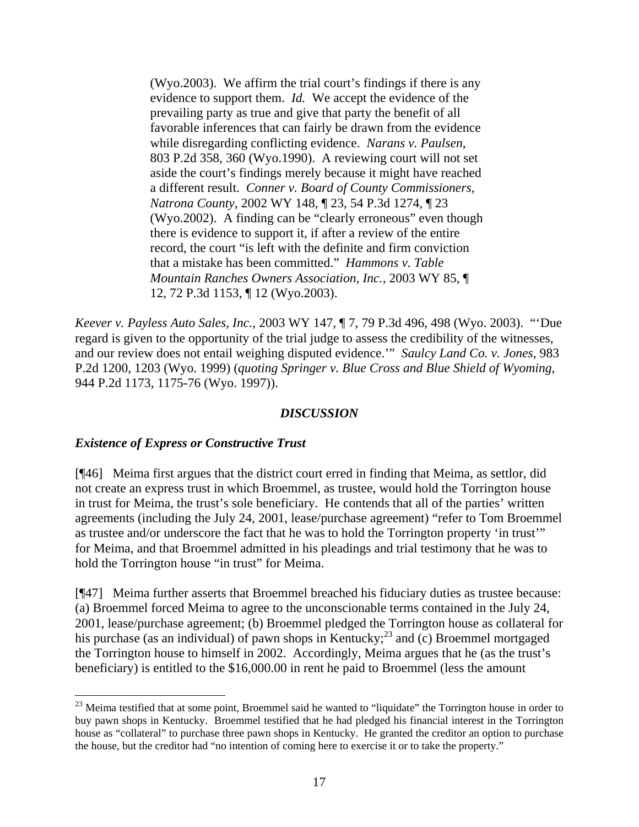(Wyo.2003). We affirm the trial court's findings if there is any evidence to support them. *Id.* We accept the evidence of the prevailing party as true and give that party the benefit of all favorable inferences that can fairly be drawn from the evidence while disregarding conflicting evidence. *Narans v. Paulsen*, 803 P.2d 358, 360 (Wyo.1990). A reviewing court will not set aside the court's findings merely because it might have reached a different result. *Conner v. Board of County Commissioners, Natrona County*, 2002 WY 148, ¶ 23, 54 P.3d 1274, ¶ 23 (Wyo.2002). A finding can be "clearly erroneous" even though there is evidence to support it, if after a review of the entire record, the court "is left with the definite and firm conviction that a mistake has been committed." *Hammons v. Table Mountain Ranches Owners Association, Inc.*, 2003 WY 85, ¶ 12, 72 P.3d 1153, ¶ 12 (Wyo.2003).

*Keever v. Payless Auto Sales, Inc.*, 2003 WY 147, ¶ 7, 79 P.3d 496, 498 (Wyo. 2003). "'Due regard is given to the opportunity of the trial judge to assess the credibility of the witnesses, and our review does not entail weighing disputed evidence.'" *Saulcy Land Co. v. Jones*, 983 P.2d 1200, 1203 (Wyo. 1999) (*quoting Springer v. Blue Cross and Blue Shield of Wyoming*, 944 P.2d 1173, 1175-76 (Wyo. 1997)).

#### *DISCUSSION*

#### *Existence of Express or Constructive Trust*

 $\overline{a}$ 

[¶46] Meima first argues that the district court erred in finding that Meima, as settlor, did not create an express trust in which Broemmel, as trustee, would hold the Torrington house in trust for Meima, the trust's sole beneficiary. He contends that all of the parties' written agreements (including the July 24, 2001, lease/purchase agreement) "refer to Tom Broemmel as trustee and/or underscore the fact that he was to hold the Torrington property 'in trust'" for Meima, and that Broemmel admitted in his pleadings and trial testimony that he was to hold the Torrington house "in trust" for Meima.

[¶47] Meima further asserts that Broemmel breached his fiduciary duties as trustee because: (a) Broemmel forced Meima to agree to the unconscionable terms contained in the July 24, 2001, lease/purchase agreement; (b) Broemmel pledged the Torrington house as collateral for his purchase (as an individual) of pawn shops in Kentucky;<sup>23</sup> and (c) Broemmel mortgaged the Torrington house to himself in 2002. Accordingly, Meima argues that he (as the trust's beneficiary) is entitled to the \$16,000.00 in rent he paid to Broemmel (less the amount

 $^{23}$  Meima testified that at some point, Broemmel said he wanted to "liquidate" the Torrington house in order to buy pawn shops in Kentucky. Broemmel testified that he had pledged his financial interest in the Torrington house as "collateral" to purchase three pawn shops in Kentucky. He granted the creditor an option to purchase the house, but the creditor had "no intention of coming here to exercise it or to take the property."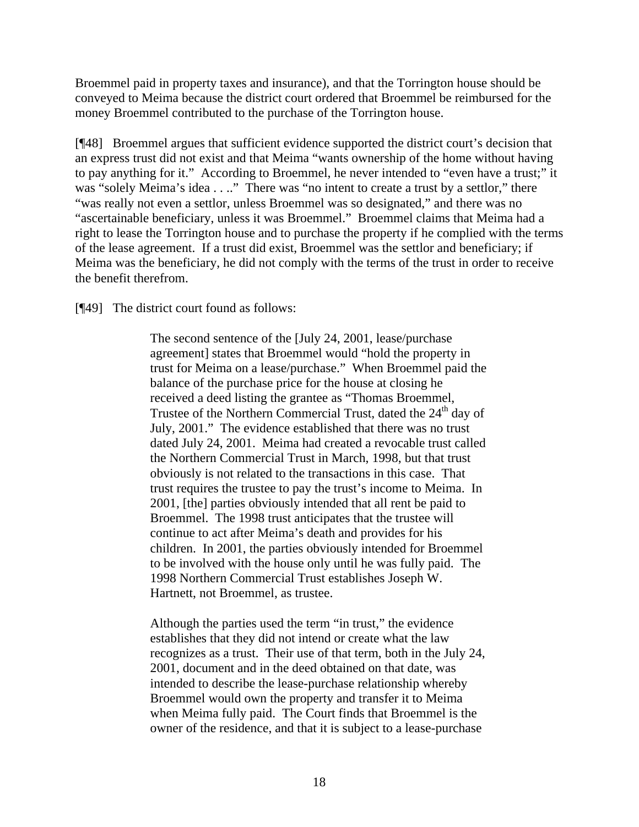Broemmel paid in property taxes and insurance), and that the Torrington house should be conveyed to Meima because the district court ordered that Broemmel be reimbursed for the money Broemmel contributed to the purchase of the Torrington house.

[¶48] Broemmel argues that sufficient evidence supported the district court's decision that an express trust did not exist and that Meima "wants ownership of the home without having to pay anything for it." According to Broemmel, he never intended to "even have a trust;" it was "solely Meima's idea . . .." There was "no intent to create a trust by a settlor," there "was really not even a settlor, unless Broemmel was so designated," and there was no "ascertainable beneficiary, unless it was Broemmel." Broemmel claims that Meima had a right to lease the Torrington house and to purchase the property if he complied with the terms of the lease agreement. If a trust did exist, Broemmel was the settlor and beneficiary; if Meima was the beneficiary, he did not comply with the terms of the trust in order to receive the benefit therefrom.

[¶49] The district court found as follows:

The second sentence of the [July 24, 2001, lease/purchase agreement] states that Broemmel would "hold the property in trust for Meima on a lease/purchase." When Broemmel paid the balance of the purchase price for the house at closing he received a deed listing the grantee as "Thomas Broemmel, Trustee of the Northern Commercial Trust, dated the  $24<sup>th</sup>$  day of July, 2001." The evidence established that there was no trust dated July 24, 2001. Meima had created a revocable trust called the Northern Commercial Trust in March, 1998, but that trust obviously is not related to the transactions in this case. That trust requires the trustee to pay the trust's income to Meima. In 2001, [the] parties obviously intended that all rent be paid to Broemmel. The 1998 trust anticipates that the trustee will continue to act after Meima's death and provides for his children. In 2001, the parties obviously intended for Broemmel to be involved with the house only until he was fully paid. The 1998 Northern Commercial Trust establishes Joseph W. Hartnett, not Broemmel, as trustee.

Although the parties used the term "in trust," the evidence establishes that they did not intend or create what the law recognizes as a trust. Their use of that term, both in the July 24, 2001, document and in the deed obtained on that date, was intended to describe the lease-purchase relationship whereby Broemmel would own the property and transfer it to Meima when Meima fully paid. The Court finds that Broemmel is the owner of the residence, and that it is subject to a lease-purchase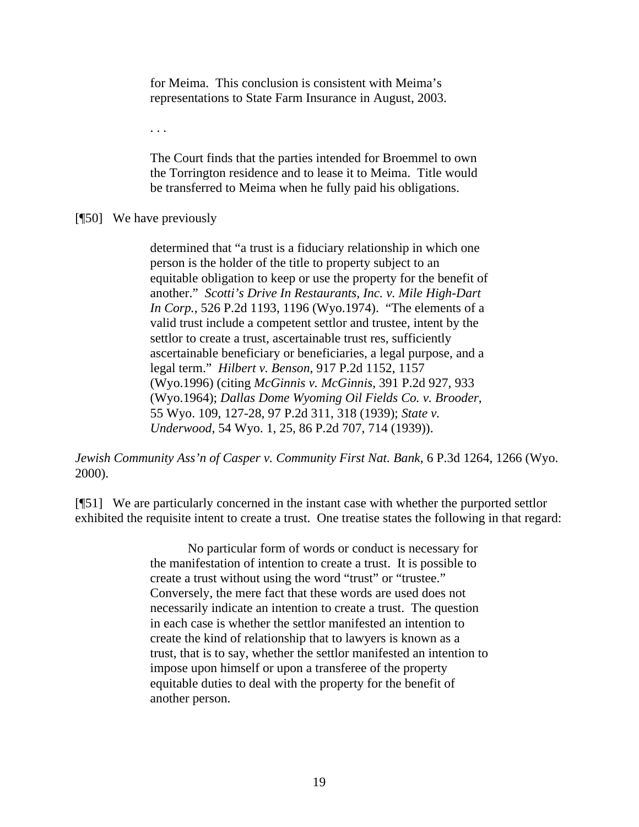for Meima. This conclusion is consistent with Meima's representations to State Farm Insurance in August, 2003.

. . .

The Court finds that the parties intended for Broemmel to own the Torrington residence and to lease it to Meima. Title would be transferred to Meima when he fully paid his obligations.

[¶50] We have previously

determined that "a trust is a fiduciary relationship in which one person is the holder of the title to property subject to an equitable obligation to keep or use the property for the benefit of another." *Scotti's Drive In Restaurants, Inc. v. Mile High-Dart In Corp.*, 526 P.2d 1193, 1196 (Wyo.1974). "The elements of a valid trust include a competent settlor and trustee, intent by the settlor to create a trust, ascertainable trust res, sufficiently ascertainable beneficiary or beneficiaries, a legal purpose, and a legal term." *Hilbert v. Benson*, 917 P.2d 1152, 1157 (Wyo.1996) (citing *McGinnis v. McGinnis*, 391 P.2d 927, 933 (Wyo.1964); *Dallas Dome Wyoming Oil Fields Co. v. Brooder*, 55 Wyo. 109, 127-28, 97 P.2d 311, 318 (1939); *State v. Underwood*, 54 Wyo. 1, 25, 86 P.2d 707, 714 (1939)).

*Jewish Community Ass'n of Casper v. Community First Nat. Bank*, 6 P.3d 1264, 1266 (Wyo. 2000).

[¶51] We are particularly concerned in the instant case with whether the purported settlor exhibited the requisite intent to create a trust. One treatise states the following in that regard:

> No particular form of words or conduct is necessary for the manifestation of intention to create a trust. It is possible to create a trust without using the word "trust" or "trustee." Conversely, the mere fact that these words are used does not necessarily indicate an intention to create a trust. The question in each case is whether the settlor manifested an intention to create the kind of relationship that to lawyers is known as a trust, that is to say, whether the settlor manifested an intention to impose upon himself or upon a transferee of the property equitable duties to deal with the property for the benefit of another person.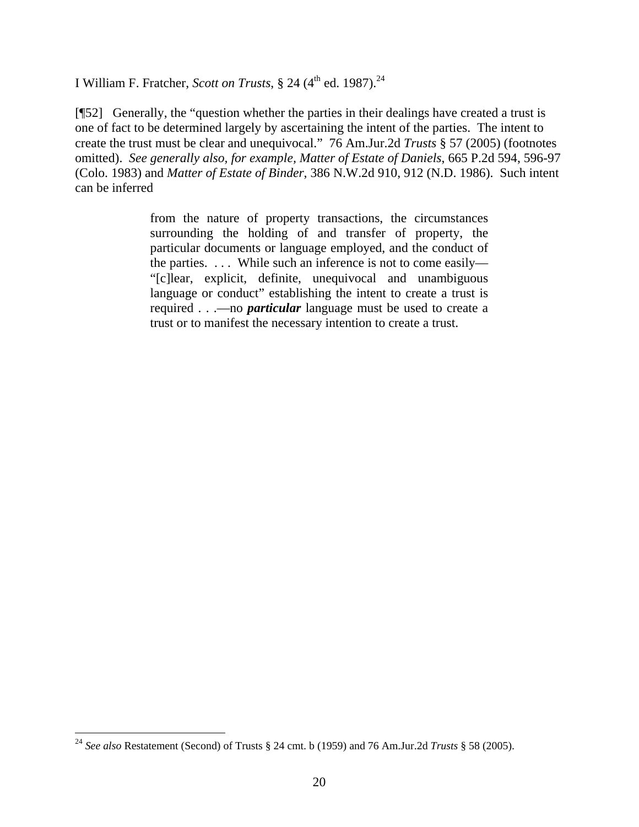I William F. Fratcher, *Scott on Trusts*, § 24 ( $4<sup>th</sup>$  ed. 1987).<sup>24</sup>

[¶52] Generally, the "question whether the parties in their dealings have created a trust is one of fact to be determined largely by ascertaining the intent of the parties. The intent to create the trust must be clear and unequivocal." 76 Am.Jur.2d *Trusts* § 57 (2005) (footnotes omitted). *See generally also, for example, Matter of Estate of Daniels*, 665 P.2d 594, 596-97 (Colo. 1983) and *Matter of Estate of Binder*, 386 N.W.2d 910, 912 (N.D. 1986). Such intent can be inferred

> from the nature of property transactions, the circumstances surrounding the holding of and transfer of property, the particular documents or language employed, and the conduct of the parties. . . . While such an inference is not to come easily— "[c]lear, explicit, definite, unequivocal and unambiguous language or conduct" establishing the intent to create a trust is required . . .—no *particular* language must be used to create a trust or to manifest the necessary intention to create a trust.

 $\overline{a}$ 

<sup>24</sup> *See also* Restatement (Second) of Trusts § 24 cmt. b (1959) and 76 Am.Jur.2d *Trusts* § 58 (2005).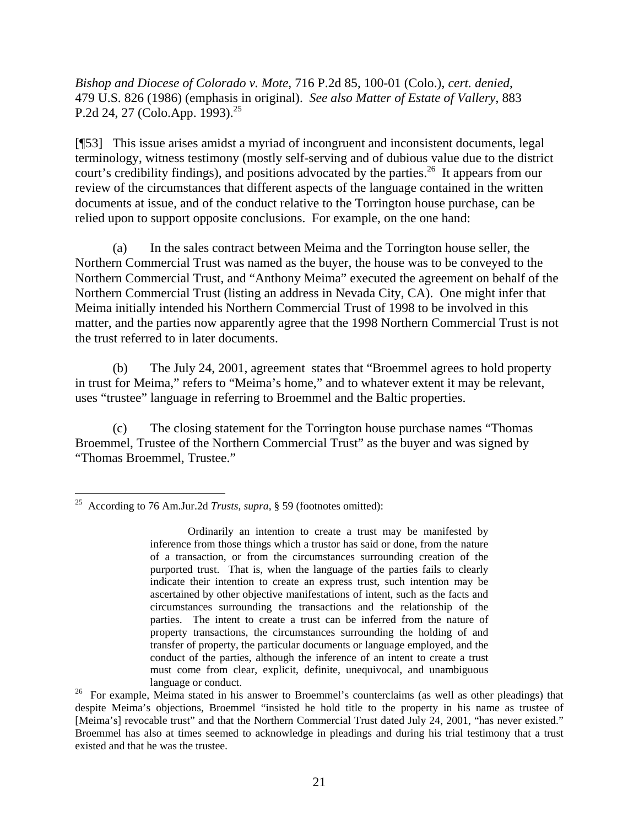*Bishop and Diocese of Colorado v. Mote*, 716 P.2d 85, 100-01 (Colo.), *cert. denied*, 479 U.S. 826 (1986) (emphasis in original). *See also Matter of Estate of Vallery*, 883 P.2d 24, 27 (Colo.App. 1993).<sup>25</sup>

[¶53] This issue arises amidst a myriad of incongruent and inconsistent documents, legal terminology, witness testimony (mostly self-serving and of dubious value due to the district court's credibility findings), and positions advocated by the parties.<sup>26</sup> It appears from our review of the circumstances that different aspects of the language contained in the written documents at issue, and of the conduct relative to the Torrington house purchase, can be relied upon to support opposite conclusions. For example, on the one hand:

(a) In the sales contract between Meima and the Torrington house seller, the Northern Commercial Trust was named as the buyer, the house was to be conveyed to the Northern Commercial Trust, and "Anthony Meima" executed the agreement on behalf of the Northern Commercial Trust (listing an address in Nevada City, CA). One might infer that Meima initially intended his Northern Commercial Trust of 1998 to be involved in this matter, and the parties now apparently agree that the 1998 Northern Commercial Trust is not the trust referred to in later documents.

(b) The July 24, 2001, agreement states that "Broemmel agrees to hold property in trust for Meima," refers to "Meima's home," and to whatever extent it may be relevant, uses "trustee" language in referring to Broemmel and the Baltic properties.

(c) The closing statement for the Torrington house purchase names "Thomas Broemmel, Trustee of the Northern Commercial Trust" as the buyer and was signed by "Thomas Broemmel, Trustee."

 $\overline{a}$ 25 According to 76 Am.Jur.2d *Trusts, supra*, § 59 (footnotes omitted):

Ordinarily an intention to create a trust may be manifested by inference from those things which a trustor has said or done, from the nature of a transaction, or from the circumstances surrounding creation of the purported trust. That is, when the language of the parties fails to clearly indicate their intention to create an express trust, such intention may be ascertained by other objective manifestations of intent, such as the facts and circumstances surrounding the transactions and the relationship of the parties. The intent to create a trust can be inferred from the nature of property transactions, the circumstances surrounding the holding of and transfer of property, the particular documents or language employed, and the conduct of the parties, although the inference of an intent to create a trust must come from clear, explicit, definite, unequivocal, and unambiguous language or conduct.

<sup>&</sup>lt;sup>26</sup> For example, Meima stated in his answer to Broemmel's counterclaims (as well as other pleadings) that despite Meima's objections, Broemmel "insisted he hold title to the property in his name as trustee of [Meima's] revocable trust" and that the Northern Commercial Trust dated July 24, 2001, "has never existed." Broemmel has also at times seemed to acknowledge in pleadings and during his trial testimony that a trust existed and that he was the trustee.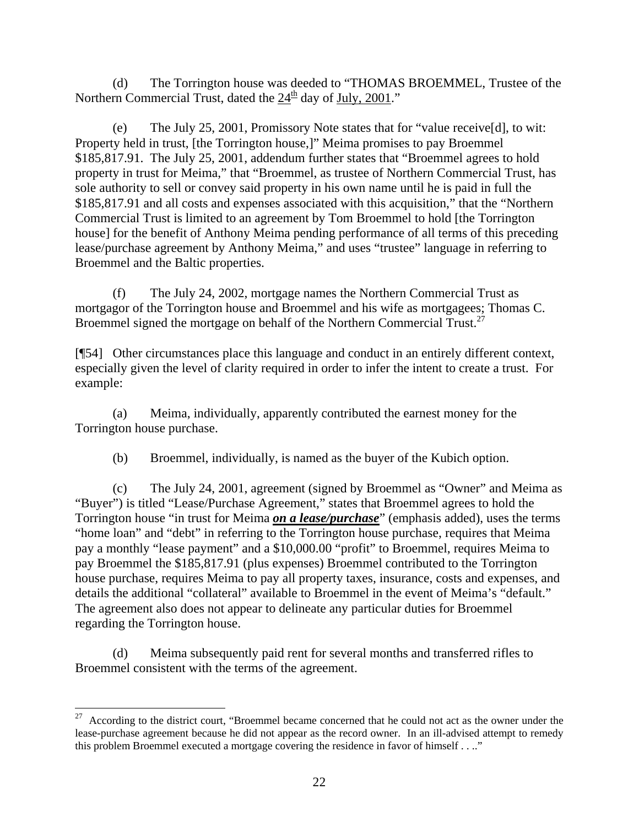(d) The Torrington house was deeded to "THOMAS BROEMMEL, Trustee of the Northern Commercial Trust, dated the  $24<sup>th</sup>$  day of July, 2001."

(e) The July 25, 2001, Promissory Note states that for "value receive[d], to wit: Property held in trust, [the Torrington house,]" Meima promises to pay Broemmel \$185,817.91. The July 25, 2001, addendum further states that "Broemmel agrees to hold property in trust for Meima," that "Broemmel, as trustee of Northern Commercial Trust, has sole authority to sell or convey said property in his own name until he is paid in full the \$185,817.91 and all costs and expenses associated with this acquisition," that the "Northern Commercial Trust is limited to an agreement by Tom Broemmel to hold [the Torrington house] for the benefit of Anthony Meima pending performance of all terms of this preceding lease/purchase agreement by Anthony Meima," and uses "trustee" language in referring to Broemmel and the Baltic properties.

(f) The July 24, 2002, mortgage names the Northern Commercial Trust as mortgagor of the Torrington house and Broemmel and his wife as mortgagees; Thomas C. Broemmel signed the mortgage on behalf of the Northern Commercial Trust.<sup>27</sup>

[¶54] Other circumstances place this language and conduct in an entirely different context, especially given the level of clarity required in order to infer the intent to create a trust. For example:

(a) Meima, individually, apparently contributed the earnest money for the Torrington house purchase.

(b) Broemmel, individually, is named as the buyer of the Kubich option.

(c) The July 24, 2001, agreement (signed by Broemmel as "Owner" and Meima as "Buyer") is titled "Lease/Purchase Agreement," states that Broemmel agrees to hold the Torrington house "in trust for Meima *on a lease/purchase*" (emphasis added), uses the terms "home loan" and "debt" in referring to the Torrington house purchase, requires that Meima pay a monthly "lease payment" and a \$10,000.00 "profit" to Broemmel, requires Meima to pay Broemmel the \$185,817.91 (plus expenses) Broemmel contributed to the Torrington house purchase, requires Meima to pay all property taxes, insurance, costs and expenses, and details the additional "collateral" available to Broemmel in the event of Meima's "default." The agreement also does not appear to delineate any particular duties for Broemmel regarding the Torrington house.

(d) Meima subsequently paid rent for several months and transferred rifles to Broemmel consistent with the terms of the agreement.

 $27$  According to the district court, "Broemmel became concerned that he could not act as the owner under the lease-purchase agreement because he did not appear as the record owner. In an ill-advised attempt to remedy this problem Broemmel executed a mortgage covering the residence in favor of himself . . .."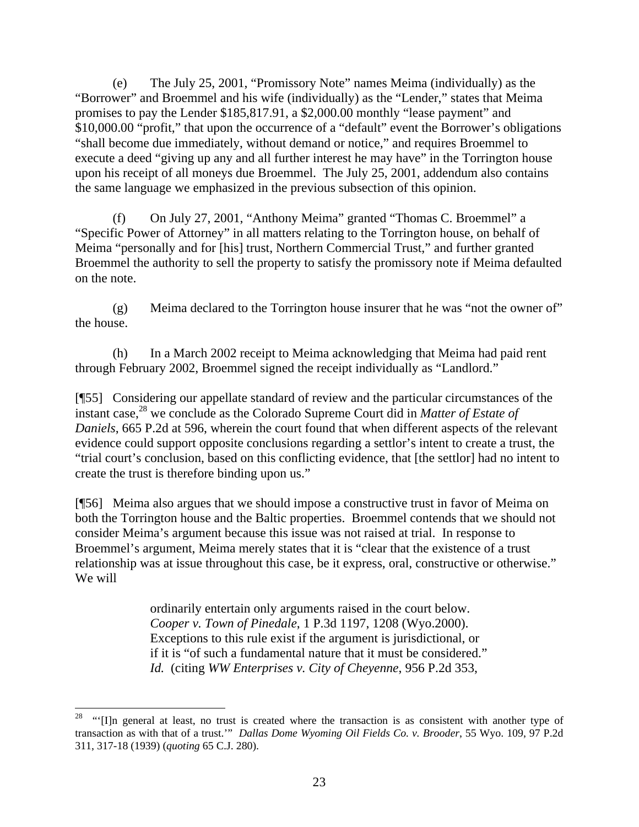(e) The July 25, 2001, "Promissory Note" names Meima (individually) as the "Borrower" and Broemmel and his wife (individually) as the "Lender," states that Meima promises to pay the Lender \$185,817.91, a \$2,000.00 monthly "lease payment" and \$10,000.00 "profit," that upon the occurrence of a "default" event the Borrower's obligations "shall become due immediately, without demand or notice," and requires Broemmel to execute a deed "giving up any and all further interest he may have" in the Torrington house upon his receipt of all moneys due Broemmel. The July 25, 2001, addendum also contains the same language we emphasized in the previous subsection of this opinion.

(f) On July 27, 2001, "Anthony Meima" granted "Thomas C. Broemmel" a "Specific Power of Attorney" in all matters relating to the Torrington house, on behalf of Meima "personally and for [his] trust, Northern Commercial Trust," and further granted Broemmel the authority to sell the property to satisfy the promissory note if Meima defaulted on the note.

(g) Meima declared to the Torrington house insurer that he was "not the owner of" the house.

(h) In a March 2002 receipt to Meima acknowledging that Meima had paid rent through February 2002, Broemmel signed the receipt individually as "Landlord."

[¶55] Considering our appellate standard of review and the particular circumstances of the instant case,<sup>28</sup> we conclude as the Colorado Supreme Court did in *Matter of Estate of Daniels*, 665 P.2d at 596, wherein the court found that when different aspects of the relevant evidence could support opposite conclusions regarding a settlor's intent to create a trust, the "trial court's conclusion, based on this conflicting evidence, that [the settlor] had no intent to create the trust is therefore binding upon us."

[¶56] Meima also argues that we should impose a constructive trust in favor of Meima on both the Torrington house and the Baltic properties. Broemmel contends that we should not consider Meima's argument because this issue was not raised at trial. In response to Broemmel's argument, Meima merely states that it is "clear that the existence of a trust relationship was at issue throughout this case, be it express, oral, constructive or otherwise." We will

> ordinarily entertain only arguments raised in the court below. *Cooper v. Town of Pinedale*, 1 P.3d 1197, 1208 (Wyo.2000). Exceptions to this rule exist if the argument is jurisdictional, or if it is "of such a fundamental nature that it must be considered." *Id.* (citing *WW Enterprises v. City of Cheyenne*, 956 P.2d 353,

 $\overline{a}$ 

<sup>28 &</sup>quot;'[I]n general at least, no trust is created where the transaction is as consistent with another type of transaction as with that of a trust.'" *Dallas Dome Wyoming Oil Fields Co. v. Brooder*, 55 Wyo. 109, 97 P.2d 311, 317-18 (1939) (*quoting* 65 C.J. 280).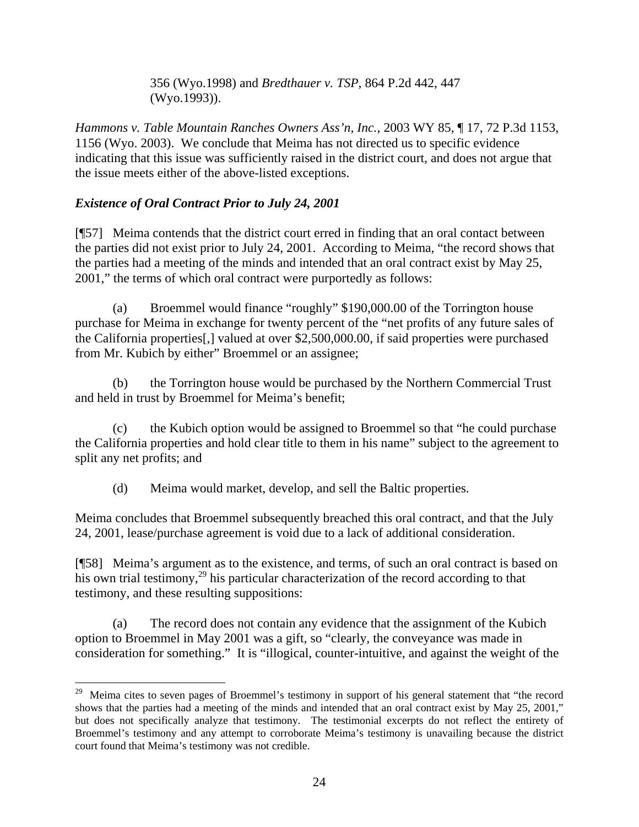356 (Wyo.1998) and *Bredthauer v. TSP*, 864 P.2d 442, 447 (Wyo.1993)).

*Hammons v. Table Mountain Ranches Owners Ass'n, Inc.*, 2003 WY 85, ¶ 17, 72 P.3d 1153, 1156 (Wyo. 2003). We conclude that Meima has not directed us to specific evidence indicating that this issue was sufficiently raised in the district court, and does not argue that the issue meets either of the above-listed exceptions.

# *Existence of Oral Contract Prior to July 24, 2001*

l

[¶57] Meima contends that the district court erred in finding that an oral contact between the parties did not exist prior to July 24, 2001. According to Meima, "the record shows that the parties had a meeting of the minds and intended that an oral contract exist by May 25, 2001," the terms of which oral contract were purportedly as follows:

(a) Broemmel would finance "roughly" \$190,000.00 of the Torrington house purchase for Meima in exchange for twenty percent of the "net profits of any future sales of the California properties[,] valued at over \$2,500,000.00, if said properties were purchased from Mr. Kubich by either" Broemmel or an assignee;

(b) the Torrington house would be purchased by the Northern Commercial Trust and held in trust by Broemmel for Meima's benefit;

(c) the Kubich option would be assigned to Broemmel so that "he could purchase the California properties and hold clear title to them in his name" subject to the agreement to split any net profits; and

(d) Meima would market, develop, and sell the Baltic properties.

Meima concludes that Broemmel subsequently breached this oral contract, and that the July 24, 2001, lease/purchase agreement is void due to a lack of additional consideration.

[¶58] Meima's argument as to the existence, and terms, of such an oral contract is based on his own trial testimony,<sup>29</sup> his particular characterization of the record according to that testimony, and these resulting suppositions:

(a) The record does not contain any evidence that the assignment of the Kubich option to Broemmel in May 2001 was a gift, so "clearly, the conveyance was made in consideration for something." It is "illogical, counter-intuitive, and against the weight of the

<sup>&</sup>lt;sup>29</sup> Meima cites to seven pages of Broemmel's testimony in support of his general statement that "the record shows that the parties had a meeting of the minds and intended that an oral contract exist by May 25, 2001," but does not specifically analyze that testimony. The testimonial excerpts do not reflect the entirety of Broemmel's testimony and any attempt to corroborate Meima's testimony is unavailing because the district court found that Meima's testimony was not credible.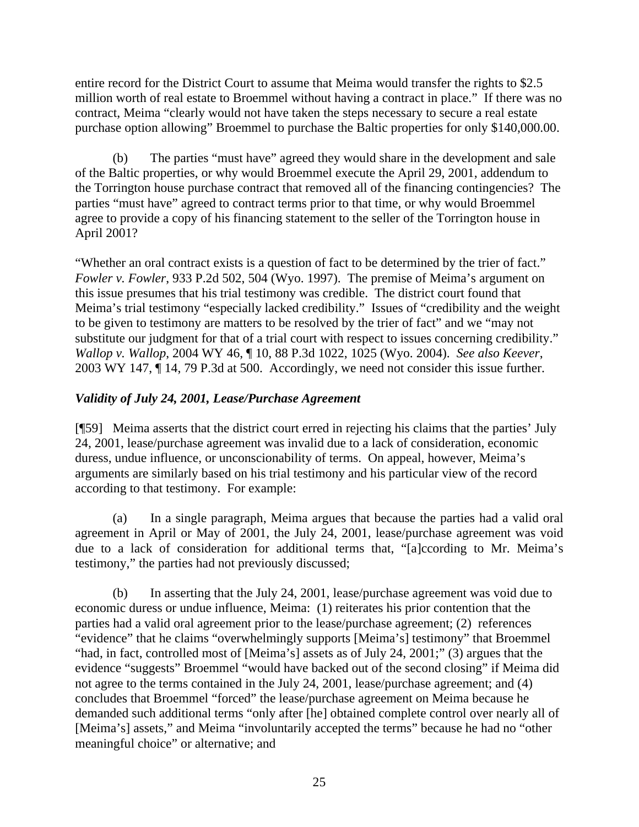entire record for the District Court to assume that Meima would transfer the rights to \$2.5 million worth of real estate to Broemmel without having a contract in place." If there was no contract, Meima "clearly would not have taken the steps necessary to secure a real estate purchase option allowing" Broemmel to purchase the Baltic properties for only \$140,000.00.

(b) The parties "must have" agreed they would share in the development and sale of the Baltic properties, or why would Broemmel execute the April 29, 2001, addendum to the Torrington house purchase contract that removed all of the financing contingencies? The parties "must have" agreed to contract terms prior to that time, or why would Broemmel agree to provide a copy of his financing statement to the seller of the Torrington house in April 2001?

"Whether an oral contract exists is a question of fact to be determined by the trier of fact." *Fowler v. Fowler*, 933 P.2d 502, 504 (Wyo. 1997). The premise of Meima's argument on this issue presumes that his trial testimony was credible. The district court found that Meima's trial testimony "especially lacked credibility." Issues of "credibility and the weight to be given to testimony are matters to be resolved by the trier of fact" and we "may not substitute our judgment for that of a trial court with respect to issues concerning credibility." *Wallop v. Wallop*, 2004 WY 46, ¶ 10, 88 P.3d 1022, 1025 (Wyo. 2004). *See also Keever*, 2003 WY 147, ¶ 14, 79 P.3d at 500. Accordingly, we need not consider this issue further.

# *Validity of July 24, 2001, Lease/Purchase Agreement*

[¶59] Meima asserts that the district court erred in rejecting his claims that the parties' July 24, 2001, lease/purchase agreement was invalid due to a lack of consideration, economic duress, undue influence, or unconscionability of terms. On appeal, however, Meima's arguments are similarly based on his trial testimony and his particular view of the record according to that testimony. For example:

(a) In a single paragraph, Meima argues that because the parties had a valid oral agreement in April or May of 2001, the July 24, 2001, lease/purchase agreement was void due to a lack of consideration for additional terms that, "[a]ccording to Mr. Meima's testimony," the parties had not previously discussed;

(b) In asserting that the July 24, 2001, lease/purchase agreement was void due to economic duress or undue influence, Meima: (1) reiterates his prior contention that the parties had a valid oral agreement prior to the lease/purchase agreement; (2) references "evidence" that he claims "overwhelmingly supports [Meima's] testimony" that Broemmel "had, in fact, controlled most of [Meima's] assets as of July 24, 2001;" (3) argues that the evidence "suggests" Broemmel "would have backed out of the second closing" if Meima did not agree to the terms contained in the July 24, 2001, lease/purchase agreement; and (4) concludes that Broemmel "forced" the lease/purchase agreement on Meima because he demanded such additional terms "only after [he] obtained complete control over nearly all of [Meima's] assets," and Meima "involuntarily accepted the terms" because he had no "other meaningful choice" or alternative; and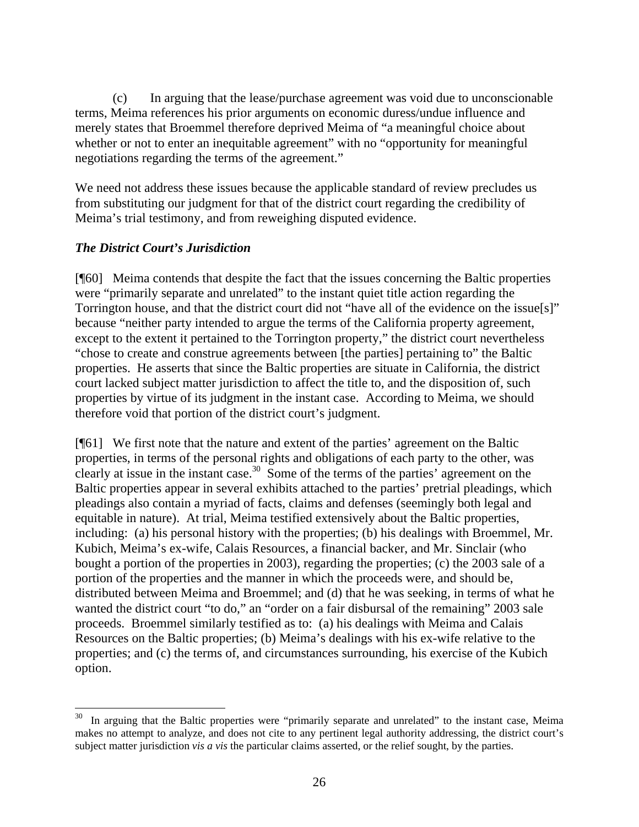(c) In arguing that the lease/purchase agreement was void due to unconscionable terms, Meima references his prior arguments on economic duress/undue influence and merely states that Broemmel therefore deprived Meima of "a meaningful choice about whether or not to enter an inequitable agreement" with no "opportunity for meaningful negotiations regarding the terms of the agreement."

We need not address these issues because the applicable standard of review precludes us from substituting our judgment for that of the district court regarding the credibility of Meima's trial testimony, and from reweighing disputed evidence.

### *The District Court's Jurisdiction*

 $\overline{a}$ 

[¶60] Meima contends that despite the fact that the issues concerning the Baltic properties were "primarily separate and unrelated" to the instant quiet title action regarding the Torrington house, and that the district court did not "have all of the evidence on the issue[s]" because "neither party intended to argue the terms of the California property agreement, except to the extent it pertained to the Torrington property," the district court nevertheless "chose to create and construe agreements between [the parties] pertaining to" the Baltic properties. He asserts that since the Baltic properties are situate in California, the district court lacked subject matter jurisdiction to affect the title to, and the disposition of, such properties by virtue of its judgment in the instant case. According to Meima, we should therefore void that portion of the district court's judgment.

[¶61] We first note that the nature and extent of the parties' agreement on the Baltic properties, in terms of the personal rights and obligations of each party to the other, was clearly at issue in the instant case.<sup>30</sup> Some of the terms of the parties' agreement on the Baltic properties appear in several exhibits attached to the parties' pretrial pleadings, which pleadings also contain a myriad of facts, claims and defenses (seemingly both legal and equitable in nature). At trial, Meima testified extensively about the Baltic properties, including: (a) his personal history with the properties; (b) his dealings with Broemmel, Mr. Kubich, Meima's ex-wife, Calais Resources, a financial backer, and Mr. Sinclair (who bought a portion of the properties in 2003), regarding the properties; (c) the 2003 sale of a portion of the properties and the manner in which the proceeds were, and should be, distributed between Meima and Broemmel; and (d) that he was seeking, in terms of what he wanted the district court "to do," an "order on a fair disbursal of the remaining" 2003 sale proceeds. Broemmel similarly testified as to: (a) his dealings with Meima and Calais Resources on the Baltic properties; (b) Meima's dealings with his ex-wife relative to the properties; and (c) the terms of, and circumstances surrounding, his exercise of the Kubich option.

In arguing that the Baltic properties were "primarily separate and unrelated" to the instant case, Meima makes no attempt to analyze, and does not cite to any pertinent legal authority addressing, the district court's subject matter jurisdiction *vis a vis* the particular claims asserted, or the relief sought, by the parties.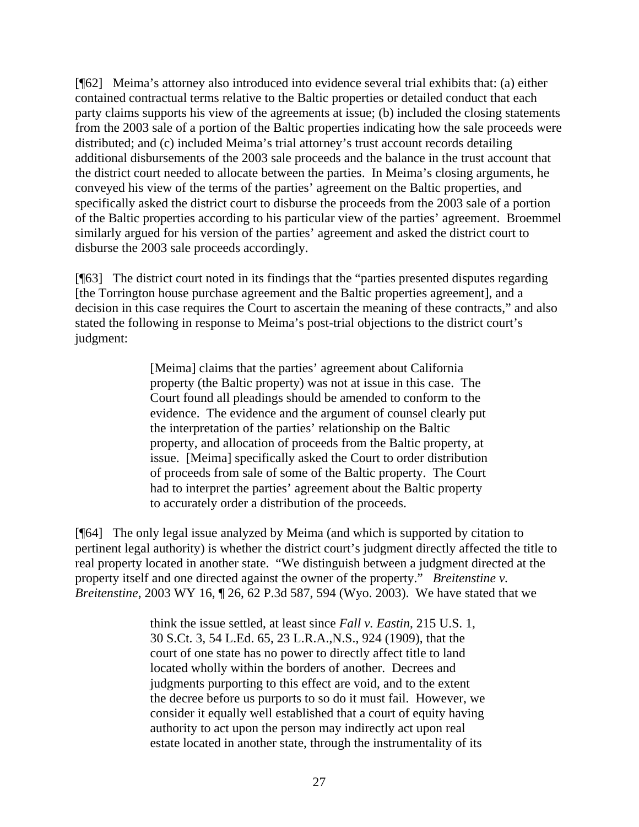[¶62] Meima's attorney also introduced into evidence several trial exhibits that: (a) either contained contractual terms relative to the Baltic properties or detailed conduct that each party claims supports his view of the agreements at issue; (b) included the closing statements from the 2003 sale of a portion of the Baltic properties indicating how the sale proceeds were distributed; and (c) included Meima's trial attorney's trust account records detailing additional disbursements of the 2003 sale proceeds and the balance in the trust account that the district court needed to allocate between the parties. In Meima's closing arguments, he conveyed his view of the terms of the parties' agreement on the Baltic properties, and specifically asked the district court to disburse the proceeds from the 2003 sale of a portion of the Baltic properties according to his particular view of the parties' agreement. Broemmel similarly argued for his version of the parties' agreement and asked the district court to disburse the 2003 sale proceeds accordingly.

[¶63] The district court noted in its findings that the "parties presented disputes regarding [the Torrington house purchase agreement and the Baltic properties agreement], and a decision in this case requires the Court to ascertain the meaning of these contracts," and also stated the following in response to Meima's post-trial objections to the district court's judgment:

> [Meima] claims that the parties' agreement about California property (the Baltic property) was not at issue in this case. The Court found all pleadings should be amended to conform to the evidence. The evidence and the argument of counsel clearly put the interpretation of the parties' relationship on the Baltic property, and allocation of proceeds from the Baltic property, at issue. [Meima] specifically asked the Court to order distribution of proceeds from sale of some of the Baltic property. The Court had to interpret the parties' agreement about the Baltic property to accurately order a distribution of the proceeds.

[¶64] The only legal issue analyzed by Meima (and which is supported by citation to pertinent legal authority) is whether the district court's judgment directly affected the title to real property located in another state. "We distinguish between a judgment directed at the property itself and one directed against the owner of the property." *Breitenstine v. Breitenstine*, 2003 WY 16, ¶ 26, 62 P.3d 587, 594 (Wyo. 2003). We have stated that we

> think the issue settled, at least since *Fall v. Eastin*, 215 U.S. 1, 30 S.Ct. 3, 54 L.Ed. 65, 23 L.R.A.,N.S., 924 (1909), that the court of one state has no power to directly affect title to land located wholly within the borders of another. Decrees and judgments purporting to this effect are void, and to the extent the decree before us purports to so do it must fail. However, we consider it equally well established that a court of equity having authority to act upon the person may indirectly act upon real estate located in another state, through the instrumentality of its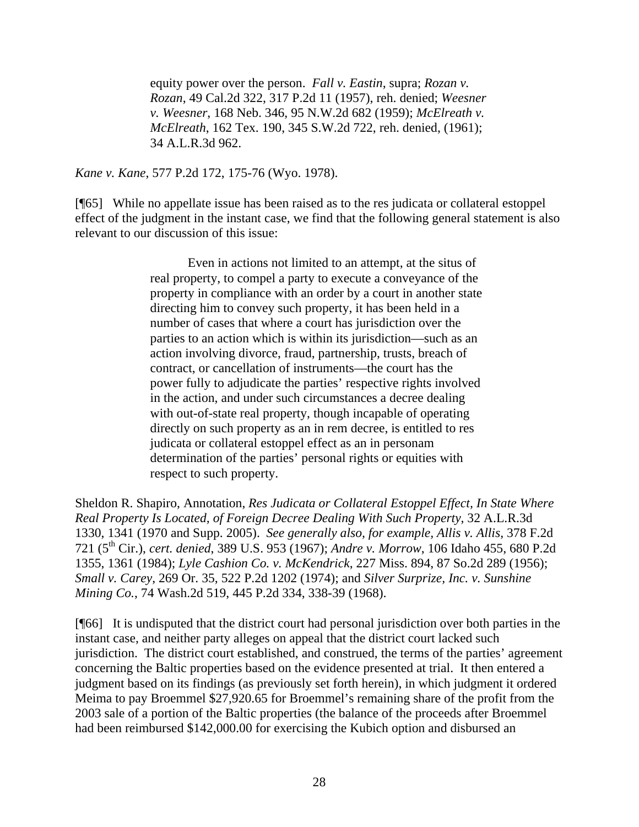equity power over the person. *Fall v. Eastin*, supra; *Rozan v. Rozan*, 49 Cal.2d 322, 317 P.2d 11 (1957), reh. denied; *Weesner v. Weesner*, 168 Neb. 346, 95 N.W.2d 682 (1959); *McElreath v. McElreath*, 162 Tex. 190, 345 S.W.2d 722, reh. denied, (1961); 34 A.L.R.3d 962.

*Kane v. Kane*, 577 P.2d 172, 175-76 (Wyo. 1978).

[¶65] While no appellate issue has been raised as to the res judicata or collateral estoppel effect of the judgment in the instant case, we find that the following general statement is also relevant to our discussion of this issue:

> Even in actions not limited to an attempt, at the situs of real property, to compel a party to execute a conveyance of the property in compliance with an order by a court in another state directing him to convey such property, it has been held in a number of cases that where a court has jurisdiction over the parties to an action which is within its jurisdiction—such as an action involving divorce, fraud, partnership, trusts, breach of contract, or cancellation of instruments—the court has the power fully to adjudicate the parties' respective rights involved in the action, and under such circumstances a decree dealing with out-of-state real property, though incapable of operating directly on such property as an in rem decree, is entitled to res judicata or collateral estoppel effect as an in personam determination of the parties' personal rights or equities with respect to such property.

Sheldon R. Shapiro, Annotation, *Res Judicata or Collateral Estoppel Effect, In State Where Real Property Is Located, of Foreign Decree Dealing With Such Property*, 32 A.L.R.3d 1330, 1341 (1970 and Supp. 2005). *See generally also, for example, Allis v. Allis*, 378 F.2d 721 (5th Cir.), *cert. denied*, 389 U.S. 953 (1967); *Andre v. Morrow*, 106 Idaho 455, 680 P.2d 1355, 1361 (1984); *Lyle Cashion Co. v. McKendrick*, 227 Miss. 894, 87 So.2d 289 (1956); *Small v. Carey*, 269 Or. 35, 522 P.2d 1202 (1974); and *Silver Surprize, Inc. v. Sunshine Mining Co.*, 74 Wash.2d 519, 445 P.2d 334, 338-39 (1968).

[¶66] It is undisputed that the district court had personal jurisdiction over both parties in the instant case, and neither party alleges on appeal that the district court lacked such jurisdiction. The district court established, and construed, the terms of the parties' agreement concerning the Baltic properties based on the evidence presented at trial. It then entered a judgment based on its findings (as previously set forth herein), in which judgment it ordered Meima to pay Broemmel \$27,920.65 for Broemmel's remaining share of the profit from the 2003 sale of a portion of the Baltic properties (the balance of the proceeds after Broemmel had been reimbursed \$142,000.00 for exercising the Kubich option and disbursed an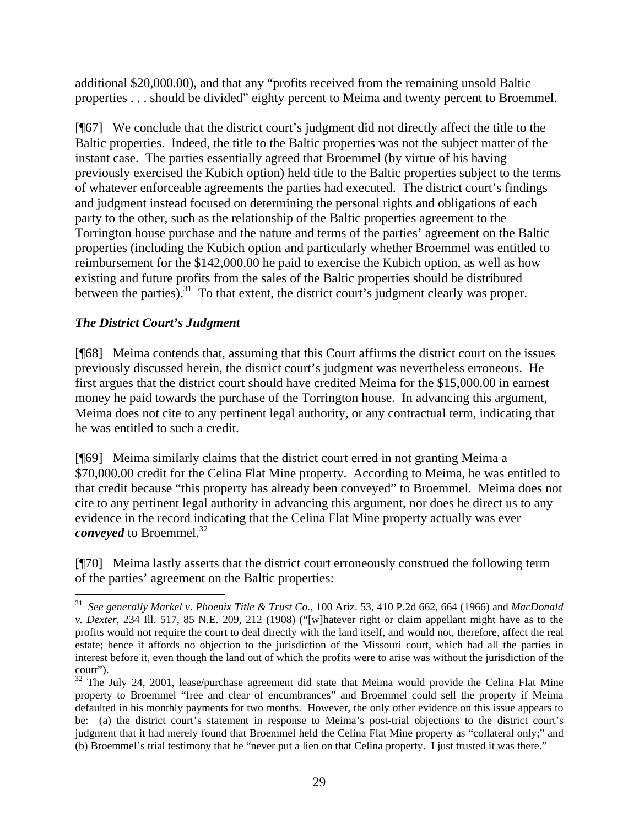additional \$20,000.00), and that any "profits received from the remaining unsold Baltic properties . . . should be divided" eighty percent to Meima and twenty percent to Broemmel.

[¶67] We conclude that the district court's judgment did not directly affect the title to the Baltic properties. Indeed, the title to the Baltic properties was not the subject matter of the instant case. The parties essentially agreed that Broemmel (by virtue of his having previously exercised the Kubich option) held title to the Baltic properties subject to the terms of whatever enforceable agreements the parties had executed. The district court's findings and judgment instead focused on determining the personal rights and obligations of each party to the other, such as the relationship of the Baltic properties agreement to the Torrington house purchase and the nature and terms of the parties' agreement on the Baltic properties (including the Kubich option and particularly whether Broemmel was entitled to reimbursement for the \$142,000.00 he paid to exercise the Kubich option, as well as how existing and future profits from the sales of the Baltic properties should be distributed between the parties).<sup>31</sup> To that extent, the district court's judgment clearly was proper.

# *The District Court's Judgment*

[¶68] Meima contends that, assuming that this Court affirms the district court on the issues previously discussed herein, the district court's judgment was nevertheless erroneous. He first argues that the district court should have credited Meima for the \$15,000.00 in earnest money he paid towards the purchase of the Torrington house. In advancing this argument, Meima does not cite to any pertinent legal authority, or any contractual term, indicating that he was entitled to such a credit.

[¶69] Meima similarly claims that the district court erred in not granting Meima a \$70,000.00 credit for the Celina Flat Mine property. According to Meima, he was entitled to that credit because "this property has already been conveyed" to Broemmel. Meima does not cite to any pertinent legal authority in advancing this argument, nor does he direct us to any evidence in the record indicating that the Celina Flat Mine property actually was ever *conveyed* to Broemmel. 32

[¶70] Meima lastly asserts that the district court erroneously construed the following term of the parties' agreement on the Baltic properties:

 31 *See generally Markel v. Phoenix Title & Trust Co.*, 100 Ariz. 53, 410 P.2d 662, 664 (1966) and *MacDonald v. Dexter*, 234 Ill. 517, 85 N.E. 209, 212 (1908) ("[w]hatever right or claim appellant might have as to the profits would not require the court to deal directly with the land itself, and would not, therefore, affect the real estate; hence it affords no objection to the jurisdiction of the Missouri court, which had all the parties in interest before it, even though the land out of which the profits were to arise was without the jurisdiction of the court").

 $32$  The July 24, 2001, lease/purchase agreement did state that Meima would provide the Celina Flat Mine property to Broemmel "free and clear of encumbrances" and Broemmel could sell the property if Meima defaulted in his monthly payments for two months. However, the only other evidence on this issue appears to be: (a) the district court's statement in response to Meima's post-trial objections to the district court's judgment that it had merely found that Broemmel held the Celina Flat Mine property as "collateral only;" and (b) Broemmel's trial testimony that he "never put a lien on that Celina property. I just trusted it was there."